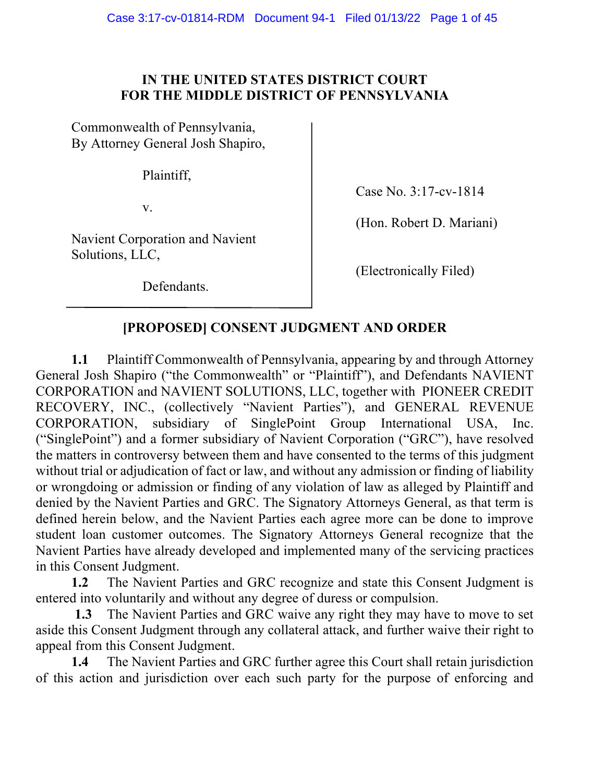#### **IN THE UNITED STATES DISTRICT COURT FOR THE MIDDLE DISTRICT OF PENNSYLVANIA**

Commonwealth of Pennsylvania, By Attorney General Josh Shapiro,

Plaintiff,

v.

Navient Corporation and Navient Solutions, LLC,

Defendants.

Case No. 3:17-cv-1814

(Hon. Robert D. Mariani)

(Electronically Filed)

#### **[PROPOSED] CONSENT JUDGMENT AND ORDER**

**1.1** Plaintiff Commonwealth of Pennsylvania, appearing by and through Attorney General Josh Shapiro ("the Commonwealth" or "Plaintiff"), and Defendants NAVIENT CORPORATION and NAVIENT SOLUTIONS, LLC, together with PIONEER CREDIT RECOVERY, INC., (collectively "Navient Parties"), and GENERAL REVENUE CORPORATION, subsidiary of SinglePoint Group International USA, Inc. ("SinglePoint") and a former subsidiary of Navient Corporation ("GRC"), have resolved the matters in controversy between them and have consented to the terms of this judgment without trial or adjudication of fact or law, and without any admission or finding of liability or wrongdoing or admission or finding of any violation of law as alleged by Plaintiff and denied by the Navient Parties and GRC. The Signatory Attorneys General, as that term is defined herein below, and the Navient Parties each agree more can be done to improve student loan customer outcomes. The Signatory Attorneys General recognize that the Navient Parties have already developed and implemented many of the servicing practices in this Consent Judgment.

**1.2** The Navient Parties and GRC recognize and state this Consent Judgment is entered into voluntarily and without any degree of duress or compulsion.

**1.3** The Navient Parties and GRC waive any right they may have to move to set aside this Consent Judgment through any collateral attack, and further waive their right to appeal from this Consent Judgment.

**1.4** The Navient Parties and GRC further agree this Court shall retain jurisdiction of this action and jurisdiction over each such party for the purpose of enforcing and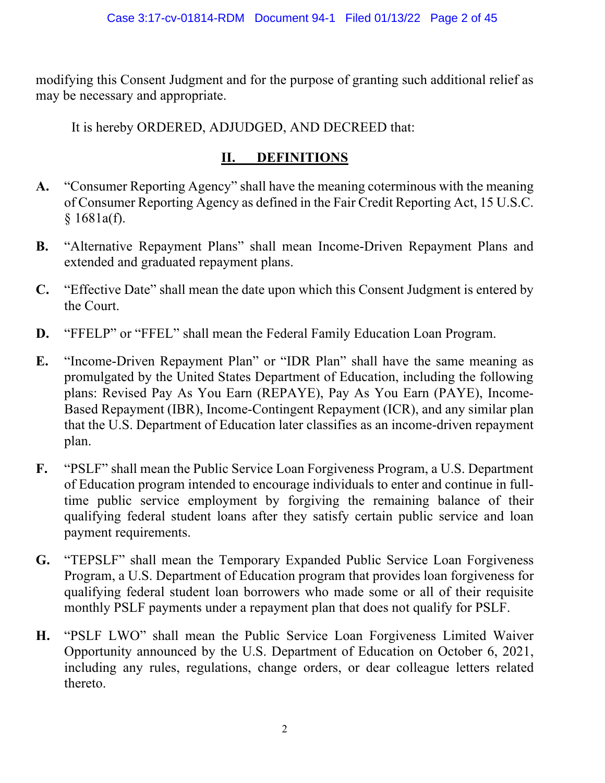modifying this Consent Judgment and for the purpose of granting such additional relief as may be necessary and appropriate.

It is hereby ORDERED, ADJUDGED, AND DECREED that:

#### **II. DEFINITIONS**

- **A.** "Consumer Reporting Agency" shall have the meaning coterminous with the meaning of Consumer Reporting Agency as defined in the Fair Credit Reporting Act, 15 U.S.C. § 1681a(f).
- **B.** "Alternative Repayment Plans" shall mean Income-Driven Repayment Plans and extended and graduated repayment plans.
- **C.** "Effective Date" shall mean the date upon which this Consent Judgment is entered by the Court.
- **D.** "FFELP" or "FFEL" shall mean the Federal Family Education Loan Program.
- **E.** "Income-Driven Repayment Plan" or "IDR Plan" shall have the same meaning as promulgated by the United States Department of Education, including the following plans: Revised Pay As You Earn (REPAYE), Pay As You Earn (PAYE), Income-Based Repayment (IBR), Income-Contingent Repayment (ICR), and any similar plan that the U.S. Department of Education later classifies as an income-driven repayment plan.
- **F.** "PSLF" shall mean the Public Service Loan Forgiveness Program, a U.S. Department of Education program intended to encourage individuals to enter and continue in fulltime public service employment by forgiving the remaining balance of their qualifying federal student loans after they satisfy certain public service and loan payment requirements.
- **G.** "TEPSLF" shall mean the Temporary Expanded Public Service Loan Forgiveness Program, a U.S. Department of Education program that provides loan forgiveness for qualifying federal student loan borrowers who made some or all of their requisite monthly PSLF payments under a repayment plan that does not qualify for PSLF.
- **H.** "PSLF LWO" shall mean the Public Service Loan Forgiveness Limited Waiver Opportunity announced by the U.S. Department of Education on October 6, 2021, including any rules, regulations, change orders, or dear colleague letters related thereto.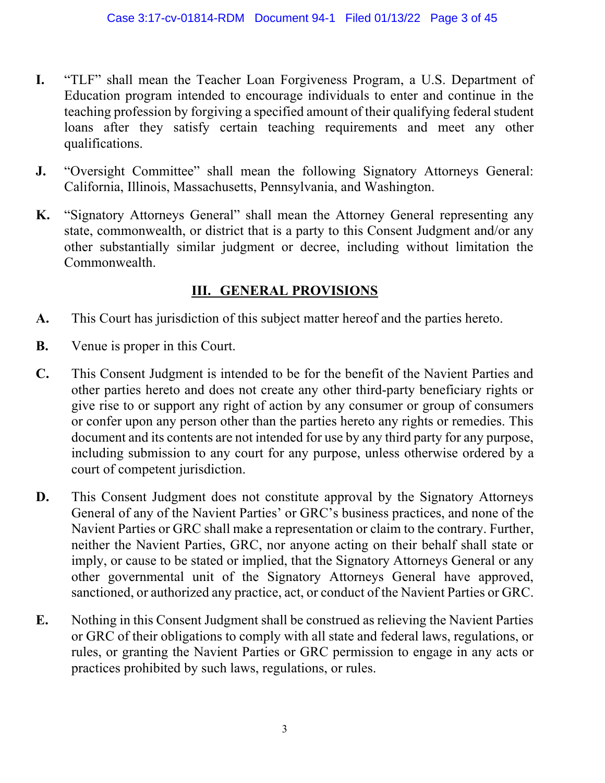- **I.** "TLF" shall mean the Teacher Loan Forgiveness Program, a U.S. Department of Education program intended to encourage individuals to enter and continue in the teaching profession by forgiving a specified amount of their qualifying federal student loans after they satisfy certain teaching requirements and meet any other qualifications.
- **J.** "Oversight Committee" shall mean the following Signatory Attorneys General: California, Illinois, Massachusetts, Pennsylvania, and Washington.
- **K.** "Signatory Attorneys General" shall mean the Attorney General representing any state, commonwealth, or district that is a party to this Consent Judgment and/or any other substantially similar judgment or decree, including without limitation the Commonwealth.

#### **III. GENERAL PROVISIONS**

- **A.** This Court has jurisdiction of this subject matter hereof and the parties hereto.
- **B.** Venue is proper in this Court.
- **C.** This Consent Judgment is intended to be for the benefit of the Navient Parties and other parties hereto and does not create any other third-party beneficiary rights or give rise to or support any right of action by any consumer or group of consumers or confer upon any person other than the parties hereto any rights or remedies. This document and its contents are not intended for use by any third party for any purpose, including submission to any court for any purpose, unless otherwise ordered by a court of competent jurisdiction.
- **D.** This Consent Judgment does not constitute approval by the Signatory Attorneys General of any of the Navient Parties' or GRC's business practices, and none of the Navient Parties or GRC shall make a representation or claim to the contrary. Further, neither the Navient Parties, GRC, nor anyone acting on their behalf shall state or imply, or cause to be stated or implied, that the Signatory Attorneys General or any other governmental unit of the Signatory Attorneys General have approved, sanctioned, or authorized any practice, act, or conduct of the Navient Parties or GRC.
- **E.** Nothing in this Consent Judgment shall be construed as relieving the Navient Parties or GRC of their obligations to comply with all state and federal laws, regulations, or rules, or granting the Navient Parties or GRC permission to engage in any acts or practices prohibited by such laws, regulations, or rules.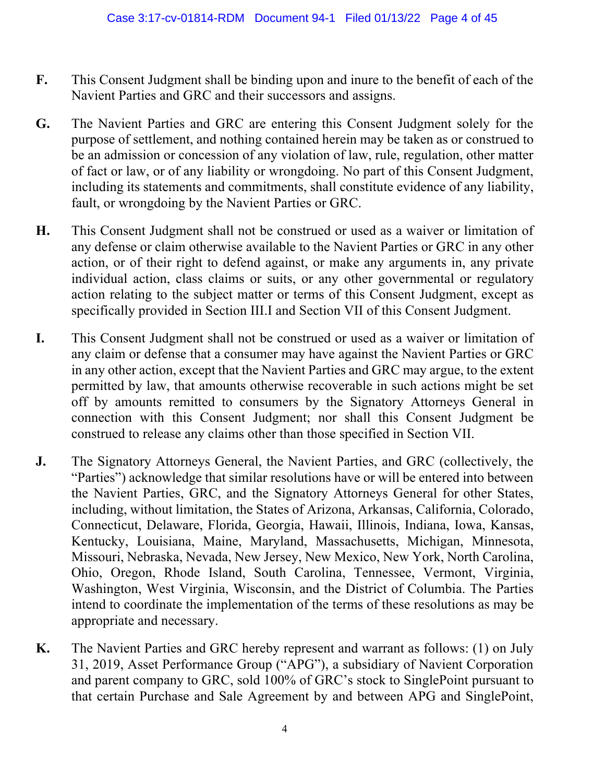- **F.** This Consent Judgment shall be binding upon and inure to the benefit of each of the Navient Parties and GRC and their successors and assigns.
- **G.** The Navient Parties and GRC are entering this Consent Judgment solely for the purpose of settlement, and nothing contained herein may be taken as or construed to be an admission or concession of any violation of law, rule, regulation, other matter of fact or law, or of any liability or wrongdoing. No part of this Consent Judgment, including its statements and commitments, shall constitute evidence of any liability, fault, or wrongdoing by the Navient Parties or GRC.
- **H.** This Consent Judgment shall not be construed or used as a waiver or limitation of any defense or claim otherwise available to the Navient Parties or GRC in any other action, or of their right to defend against, or make any arguments in, any private individual action, class claims or suits, or any other governmental or regulatory action relating to the subject matter or terms of this Consent Judgment, except as specifically provided in Section III.I and Section VII of this Consent Judgment.
- **I.** This Consent Judgment shall not be construed or used as a waiver or limitation of any claim or defense that a consumer may have against the Navient Parties or GRC in any other action, except that the Navient Parties and GRC may argue, to the extent permitted by law, that amounts otherwise recoverable in such actions might be set off by amounts remitted to consumers by the Signatory Attorneys General in connection with this Consent Judgment; nor shall this Consent Judgment be construed to release any claims other than those specified in Section VII.
- **J.** The Signatory Attorneys General, the Navient Parties, and GRC (collectively, the "Parties") acknowledge that similar resolutions have or will be entered into between the Navient Parties, GRC, and the Signatory Attorneys General for other States, including, without limitation, the States of Arizona, Arkansas, California, Colorado, Connecticut, Delaware, Florida, Georgia, Hawaii, Illinois, Indiana, Iowa, Kansas, Kentucky, Louisiana, Maine, Maryland, Massachusetts, Michigan, Minnesota, Missouri, Nebraska, Nevada, New Jersey, New Mexico, New York, North Carolina, Ohio, Oregon, Rhode Island, South Carolina, Tennessee, Vermont, Virginia, Washington, West Virginia, Wisconsin, and the District of Columbia. The Parties intend to coordinate the implementation of the terms of these resolutions as may be appropriate and necessary.
- **K.** The Navient Parties and GRC hereby represent and warrant as follows: (1) on July 31, 2019, Asset Performance Group ("APG"), a subsidiary of Navient Corporation and parent company to GRC, sold 100% of GRC's stock to SinglePoint pursuant to that certain Purchase and Sale Agreement by and between APG and SinglePoint,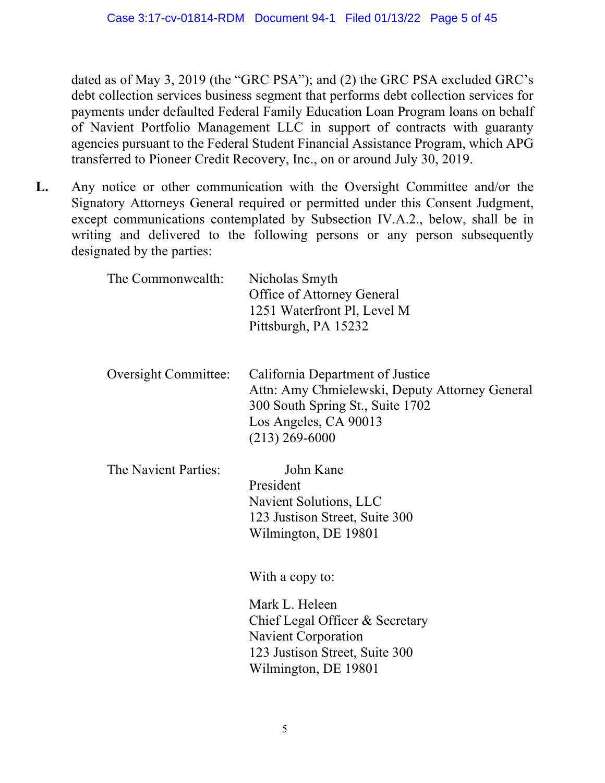dated as of May 3, 2019 (the "GRC PSA"); and (2) the GRC PSA excluded GRC's debt collection services business segment that performs debt collection services for payments under defaulted Federal Family Education Loan Program loans on behalf of Navient Portfolio Management LLC in support of contracts with guaranty agencies pursuant to the Federal Student Financial Assistance Program, which APG transferred to Pioneer Credit Recovery, Inc., on or around July 30, 2019.

**L.** Any notice or other communication with the Oversight Committee and/or the Signatory Attorneys General required or permitted under this Consent Judgment, except communications contemplated by Subsection IV.A.2., below, shall be in writing and delivered to the following persons or any person subsequently designated by the parties:

| The Commonwealth:           | Nicholas Smyth<br>Office of Attorney General<br>1251 Waterfront Pl, Level M<br>Pittsburgh, PA 15232                                                                 |
|-----------------------------|---------------------------------------------------------------------------------------------------------------------------------------------------------------------|
| <b>Oversight Committee:</b> | California Department of Justice<br>Attn: Amy Chmielewski, Deputy Attorney General<br>300 South Spring St., Suite 1702<br>Los Angeles, CA 90013<br>$(213)$ 269-6000 |
| The Navient Parties:        | John Kane<br>President<br>Navient Solutions, LLC<br>123 Justison Street, Suite 300<br>Wilmington, DE 19801                                                          |
|                             | With a copy to:<br>Mark L. Heleen<br>Chief Legal Officer & Secretary<br><b>Navient Corporation</b><br>123 Justison Street, Suite 300<br>Wilmington, DE 19801        |
|                             |                                                                                                                                                                     |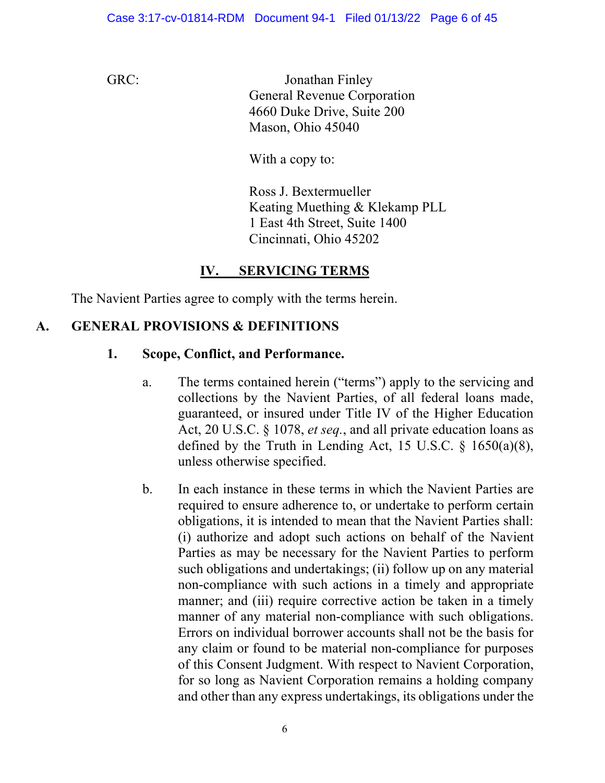GRC: Jonathan Finley General Revenue Corporation 4660 Duke Drive, Suite 200 Mason, Ohio 45040

With a copy to:

Ross J. Bextermueller Keating Muething & Klekamp PLL 1 East 4th Street, Suite 1400 Cincinnati, Ohio 45202

## **IV. SERVICING TERMS**

The Navient Parties agree to comply with the terms herein.

#### **A. GENERAL PROVISIONS & DEFINITIONS**

#### **1. Scope, Conflict, and Performance.**

- a. The terms contained herein ("terms") apply to the servicing and collections by the Navient Parties, of all federal loans made, guaranteed, or insured under Title IV of the Higher Education Act, 20 U.S.C. § 1078, *et seq.*, and all private education loans as defined by the Truth in Lending Act, 15 U.S.C.  $\frac{6}{1650(a)(8)}$ , unless otherwise specified.
- b. In each instance in these terms in which the Navient Parties are required to ensure adherence to, or undertake to perform certain obligations, it is intended to mean that the Navient Parties shall: (i) authorize and adopt such actions on behalf of the Navient Parties as may be necessary for the Navient Parties to perform such obligations and undertakings; (ii) follow up on any material non-compliance with such actions in a timely and appropriate manner; and (iii) require corrective action be taken in a timely manner of any material non-compliance with such obligations. Errors on individual borrower accounts shall not be the basis for any claim or found to be material non-compliance for purposes of this Consent Judgment. With respect to Navient Corporation, for so long as Navient Corporation remains a holding company and other than any express undertakings, its obligations under the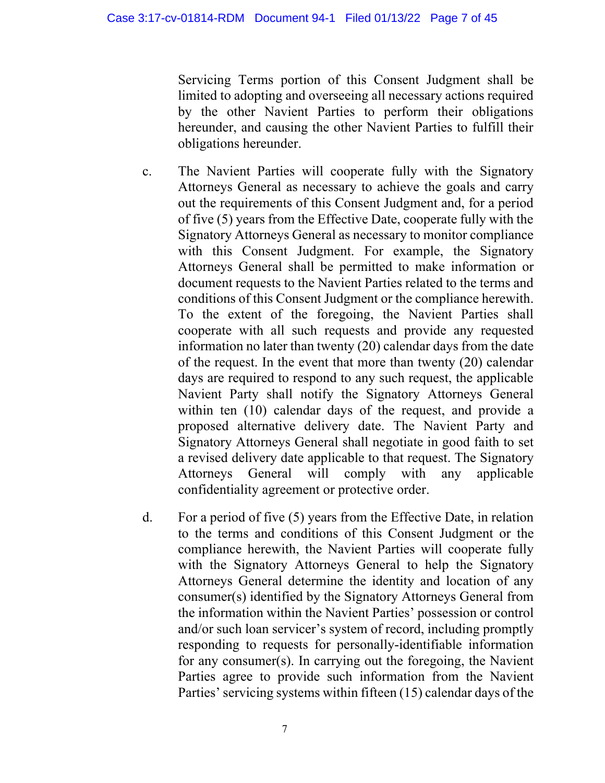Servicing Terms portion of this Consent Judgment shall be limited to adopting and overseeing all necessary actions required by the other Navient Parties to perform their obligations hereunder, and causing the other Navient Parties to fulfill their obligations hereunder.

- c. The Navient Parties will cooperate fully with the Signatory Attorneys General as necessary to achieve the goals and carry out the requirements of this Consent Judgment and, for a period of five (5) years from the Effective Date, cooperate fully with the Signatory Attorneys General as necessary to monitor compliance with this Consent Judgment. For example, the Signatory Attorneys General shall be permitted to make information or document requests to the Navient Parties related to the terms and conditions of this Consent Judgment or the compliance herewith. To the extent of the foregoing, the Navient Parties shall cooperate with all such requests and provide any requested information no later than twenty (20) calendar days from the date of the request. In the event that more than twenty (20) calendar days are required to respond to any such request, the applicable Navient Party shall notify the Signatory Attorneys General within ten (10) calendar days of the request, and provide a proposed alternative delivery date. The Navient Party and Signatory Attorneys General shall negotiate in good faith to set a revised delivery date applicable to that request. The Signatory Attorneys General will comply with any applicable confidentiality agreement or protective order.
- d. For a period of five (5) years from the Effective Date, in relation to the terms and conditions of this Consent Judgment or the compliance herewith, the Navient Parties will cooperate fully with the Signatory Attorneys General to help the Signatory Attorneys General determine the identity and location of any consumer(s) identified by the Signatory Attorneys General from the information within the Navient Parties' possession or control and/or such loan servicer's system of record, including promptly responding to requests for personally-identifiable information for any consumer(s). In carrying out the foregoing, the Navient Parties agree to provide such information from the Navient Parties' servicing systems within fifteen (15) calendar days of the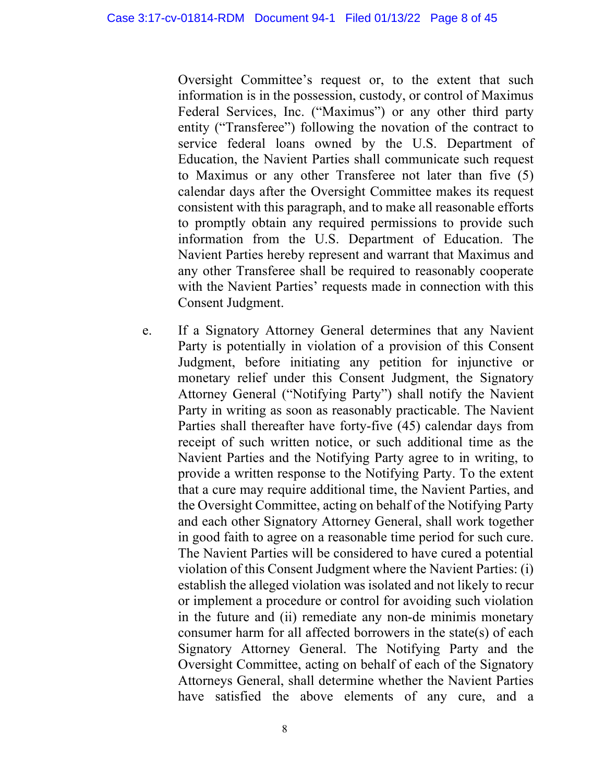Oversight Committee's request or, to the extent that such information is in the possession, custody, or control of Maximus Federal Services, Inc. ("Maximus") or any other third party entity ("Transferee") following the novation of the contract to service federal loans owned by the U.S. Department of Education, the Navient Parties shall communicate such request to Maximus or any other Transferee not later than five (5) calendar days after the Oversight Committee makes its request consistent with this paragraph, and to make all reasonable efforts to promptly obtain any required permissions to provide such information from the U.S. Department of Education. The Navient Parties hereby represent and warrant that Maximus and any other Transferee shall be required to reasonably cooperate with the Navient Parties' requests made in connection with this Consent Judgment.

e. If a Signatory Attorney General determines that any Navient Party is potentially in violation of a provision of this Consent Judgment, before initiating any petition for injunctive or monetary relief under this Consent Judgment, the Signatory Attorney General ("Notifying Party") shall notify the Navient Party in writing as soon as reasonably practicable. The Navient Parties shall thereafter have forty-five (45) calendar days from receipt of such written notice, or such additional time as the Navient Parties and the Notifying Party agree to in writing, to provide a written response to the Notifying Party. To the extent that a cure may require additional time, the Navient Parties, and the Oversight Committee, acting on behalf of the Notifying Party and each other Signatory Attorney General, shall work together in good faith to agree on a reasonable time period for such cure. The Navient Parties will be considered to have cured a potential violation of this Consent Judgment where the Navient Parties: (i) establish the alleged violation was isolated and not likely to recur or implement a procedure or control for avoiding such violation in the future and (ii) remediate any non-de minimis monetary consumer harm for all affected borrowers in the state(s) of each Signatory Attorney General. The Notifying Party and the Oversight Committee, acting on behalf of each of the Signatory Attorneys General, shall determine whether the Navient Parties have satisfied the above elements of any cure, and a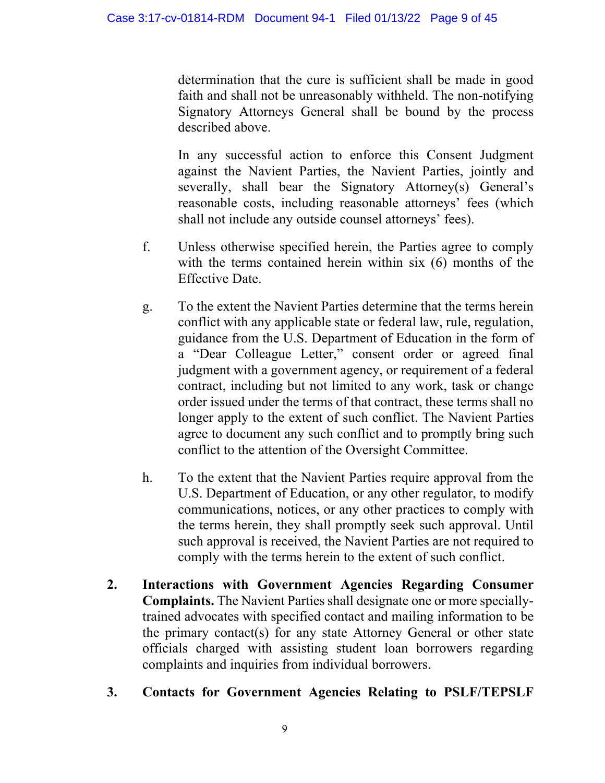determination that the cure is sufficient shall be made in good faith and shall not be unreasonably withheld. The non-notifying Signatory Attorneys General shall be bound by the process described above.

In any successful action to enforce this Consent Judgment against the Navient Parties, the Navient Parties, jointly and severally, shall bear the Signatory Attorney(s) General's reasonable costs, including reasonable attorneys' fees (which shall not include any outside counsel attorneys' fees).

- f. Unless otherwise specified herein, the Parties agree to comply with the terms contained herein within six (6) months of the Effective Date.
- g. To the extent the Navient Parties determine that the terms herein conflict with any applicable state or federal law, rule, regulation, guidance from the U.S. Department of Education in the form of a "Dear Colleague Letter," consent order or agreed final judgment with a government agency, or requirement of a federal contract, including but not limited to any work, task or change order issued under the terms of that contract, these terms shall no longer apply to the extent of such conflict. The Navient Parties agree to document any such conflict and to promptly bring such conflict to the attention of the Oversight Committee.
- h. To the extent that the Navient Parties require approval from the U.S. Department of Education, or any other regulator, to modify communications, notices, or any other practices to comply with the terms herein, they shall promptly seek such approval. Until such approval is received, the Navient Parties are not required to comply with the terms herein to the extent of such conflict.
- **2. Interactions with Government Agencies Regarding Consumer Complaints.** The Navient Parties shall designate one or more speciallytrained advocates with specified contact and mailing information to be the primary contact(s) for any state Attorney General or other state officials charged with assisting student loan borrowers regarding complaints and inquiries from individual borrowers.
- **3. Contacts for Government Agencies Relating to PSLF/TEPSLF**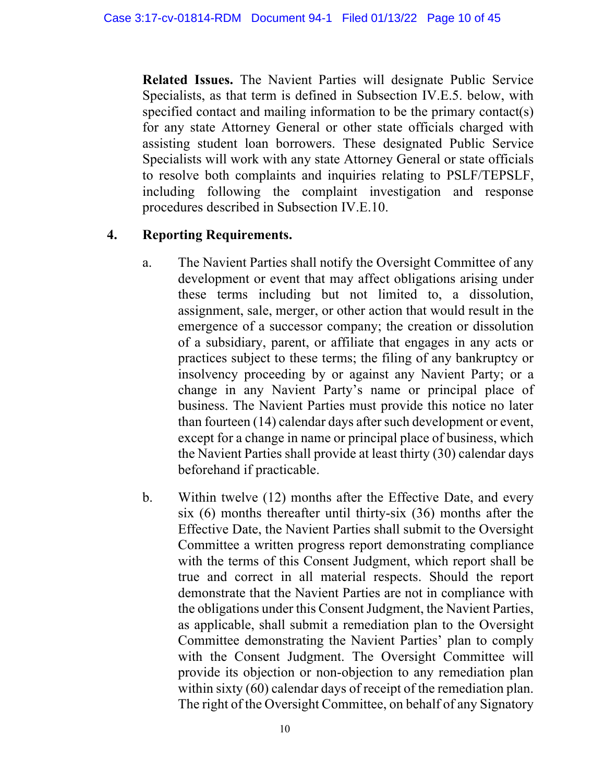**Related Issues.** The Navient Parties will designate Public Service Specialists, as that term is defined in Subsection IV.E.5. below, with specified contact and mailing information to be the primary contact(s) for any state Attorney General or other state officials charged with assisting student loan borrowers. These designated Public Service Specialists will work with any state Attorney General or state officials to resolve both complaints and inquiries relating to PSLF/TEPSLF, including following the complaint investigation and response procedures described in Subsection IV.E.10.

#### **4. Reporting Requirements.**

- a. The Navient Parties shall notify the Oversight Committee of any development or event that may affect obligations arising under these terms including but not limited to, a dissolution, assignment, sale, merger, or other action that would result in the emergence of a successor company; the creation or dissolution of a subsidiary, parent, or affiliate that engages in any acts or practices subject to these terms; the filing of any bankruptcy or insolvency proceeding by or against any Navient Party; or a change in any Navient Party's name or principal place of business. The Navient Parties must provide this notice no later than fourteen (14) calendar days after such development or event, except for a change in name or principal place of business, which the Navient Parties shall provide at least thirty (30) calendar days beforehand if practicable.
- b. Within twelve (12) months after the Effective Date, and every six (6) months thereafter until thirty-six (36) months after the Effective Date, the Navient Parties shall submit to the Oversight Committee a written progress report demonstrating compliance with the terms of this Consent Judgment, which report shall be true and correct in all material respects. Should the report demonstrate that the Navient Parties are not in compliance with the obligations under this Consent Judgment, the Navient Parties, as applicable, shall submit a remediation plan to the Oversight Committee demonstrating the Navient Parties' plan to comply with the Consent Judgment. The Oversight Committee will provide its objection or non-objection to any remediation plan within sixty (60) calendar days of receipt of the remediation plan. The right of the Oversight Committee, on behalf of any Signatory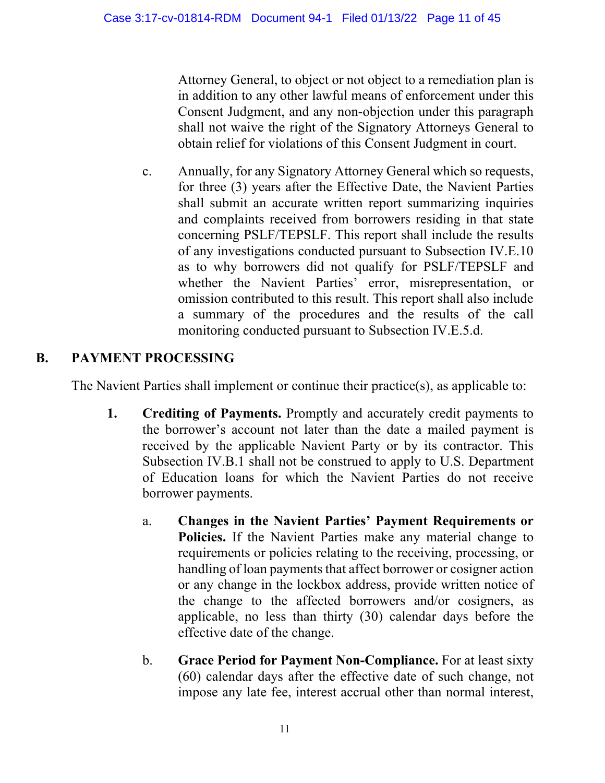Attorney General, to object or not object to a remediation plan is in addition to any other lawful means of enforcement under this Consent Judgment, and any non-objection under this paragraph shall not waive the right of the Signatory Attorneys General to obtain relief for violations of this Consent Judgment in court.

c. Annually, for any Signatory Attorney General which so requests, for three (3) years after the Effective Date, the Navient Parties shall submit an accurate written report summarizing inquiries and complaints received from borrowers residing in that state concerning PSLF/TEPSLF. This report shall include the results of any investigations conducted pursuant to Subsection IV.E.10 as to why borrowers did not qualify for PSLF/TEPSLF and whether the Navient Parties' error, misrepresentation, or omission contributed to this result. This report shall also include a summary of the procedures and the results of the call monitoring conducted pursuant to Subsection IV.E.5.d.

# **B. PAYMENT PROCESSING**

The Navient Parties shall implement or continue their practice(s), as applicable to:

- **1. Crediting of Payments.** Promptly and accurately credit payments to the borrower's account not later than the date a mailed payment is received by the applicable Navient Party or by its contractor. This Subsection IV.B.1 shall not be construed to apply to U.S. Department of Education loans for which the Navient Parties do not receive borrower payments.
	- a. **Changes in the Navient Parties' Payment Requirements or Policies.** If the Navient Parties make any material change to requirements or policies relating to the receiving, processing, or handling of loan payments that affect borrower or cosigner action or any change in the lockbox address, provide written notice of the change to the affected borrowers and/or cosigners, as applicable, no less than thirty (30) calendar days before the effective date of the change.
	- b. **Grace Period for Payment Non-Compliance.** For at least sixty (60) calendar days after the effective date of such change, not impose any late fee, interest accrual other than normal interest,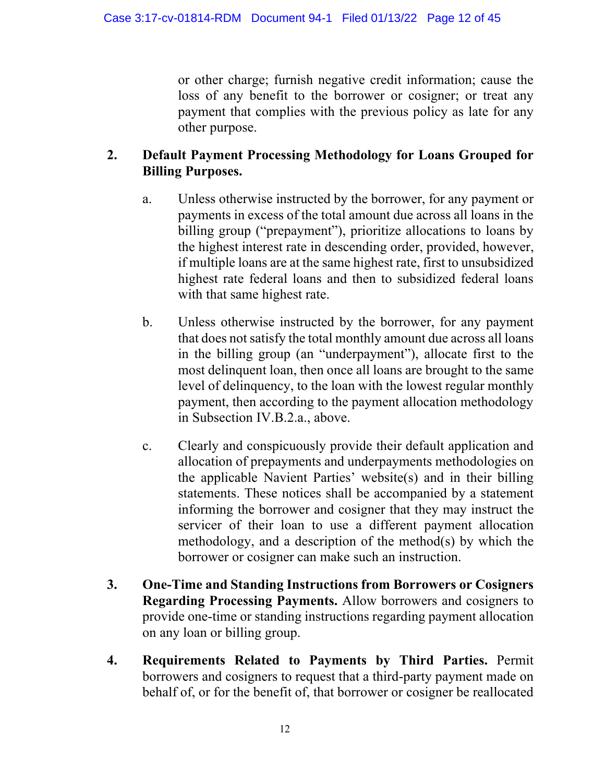or other charge; furnish negative credit information; cause the loss of any benefit to the borrower or cosigner; or treat any payment that complies with the previous policy as late for any other purpose.

#### **2. Default Payment Processing Methodology for Loans Grouped for Billing Purposes.**

- a. Unless otherwise instructed by the borrower, for any payment or payments in excess of the total amount due across all loans in the billing group ("prepayment"), prioritize allocations to loans by the highest interest rate in descending order, provided, however, if multiple loans are at the same highest rate, first to unsubsidized highest rate federal loans and then to subsidized federal loans with that same highest rate.
- b. Unless otherwise instructed by the borrower, for any payment that does not satisfy the total monthly amount due across all loans in the billing group (an "underpayment"), allocate first to the most delinquent loan, then once all loans are brought to the same level of delinquency, to the loan with the lowest regular monthly payment, then according to the payment allocation methodology in Subsection IV.B.2.a., above.
- c. Clearly and conspicuously provide their default application and allocation of prepayments and underpayments methodologies on the applicable Navient Parties' website(s) and in their billing statements. These notices shall be accompanied by a statement informing the borrower and cosigner that they may instruct the servicer of their loan to use a different payment allocation methodology, and a description of the method(s) by which the borrower or cosigner can make such an instruction.
- **3. One-Time and Standing Instructions from Borrowers or Cosigners Regarding Processing Payments.** Allow borrowers and cosigners to provide one-time or standing instructions regarding payment allocation on any loan or billing group.
- **4. Requirements Related to Payments by Third Parties.** Permit borrowers and cosigners to request that a third-party payment made on behalf of, or for the benefit of, that borrower or cosigner be reallocated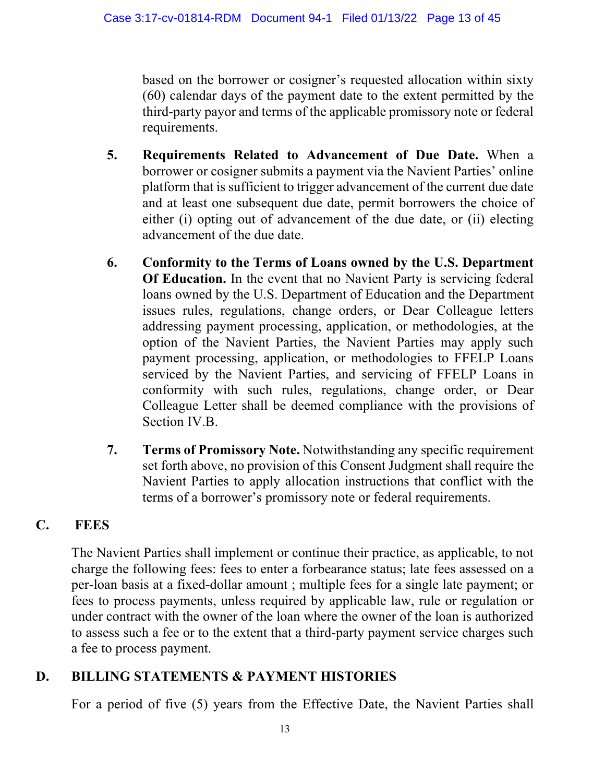based on the borrower or cosigner's requested allocation within sixty (60) calendar days of the payment date to the extent permitted by the third-party payor and terms of the applicable promissory note or federal requirements.

- **5. Requirements Related to Advancement of Due Date.** When a borrower or cosigner submits a payment via the Navient Parties' online platform that is sufficient to trigger advancement of the current due date and at least one subsequent due date, permit borrowers the choice of either (i) opting out of advancement of the due date, or (ii) electing advancement of the due date.
- **6. Conformity to the Terms of Loans owned by the U.S. Department Of Education.** In the event that no Navient Party is servicing federal loans owned by the U.S. Department of Education and the Department issues rules, regulations, change orders, or Dear Colleague letters addressing payment processing, application, or methodologies, at the option of the Navient Parties, the Navient Parties may apply such payment processing, application, or methodologies to FFELP Loans serviced by the Navient Parties, and servicing of FFELP Loans in conformity with such rules, regulations, change order, or Dear Colleague Letter shall be deemed compliance with the provisions of Section IV.B.
- **7. Terms of Promissory Note.** Notwithstanding any specific requirement set forth above, no provision of this Consent Judgment shall require the Navient Parties to apply allocation instructions that conflict with the terms of a borrower's promissory note or federal requirements.

## **C. FEES**

The Navient Parties shall implement or continue their practice, as applicable, to not charge the following fees: fees to enter a forbearance status; late fees assessed on a per-loan basis at a fixed-dollar amount ; multiple fees for a single late payment; or fees to process payments, unless required by applicable law, rule or regulation or under contract with the owner of the loan where the owner of the loan is authorized to assess such a fee or to the extent that a third-party payment service charges such a fee to process payment.

## **D. BILLING STATEMENTS & PAYMENT HISTORIES**

For a period of five (5) years from the Effective Date, the Navient Parties shall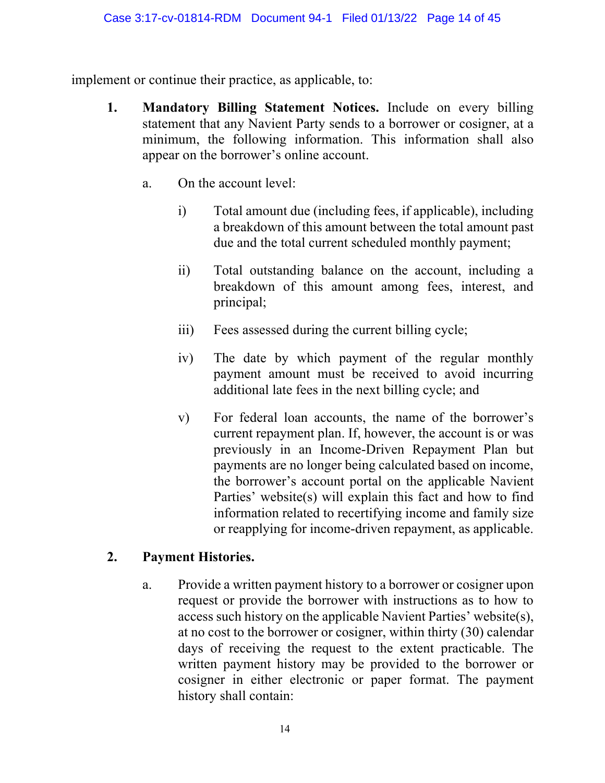implement or continue their practice, as applicable, to:

- **1. Mandatory Billing Statement Notices.** Include on every billing statement that any Navient Party sends to a borrower or cosigner, at a minimum, the following information. This information shall also appear on the borrower's online account.
	- a. On the account level:
		- i) Total amount due (including fees, if applicable), including a breakdown of this amount between the total amount past due and the total current scheduled monthly payment;
		- ii) Total outstanding balance on the account, including a breakdown of this amount among fees, interest, and principal;
		- iii) Fees assessed during the current billing cycle;
		- iv) The date by which payment of the regular monthly payment amount must be received to avoid incurring additional late fees in the next billing cycle; and
		- v) For federal loan accounts, the name of the borrower's current repayment plan. If, however, the account is or was previously in an Income-Driven Repayment Plan but payments are no longer being calculated based on income, the borrower's account portal on the applicable Navient Parties' website(s) will explain this fact and how to find information related to recertifying income and family size or reapplying for income-driven repayment, as applicable.

#### **2. Payment Histories.**

a. Provide a written payment history to a borrower or cosigner upon request or provide the borrower with instructions as to how to access such history on the applicable Navient Parties' website(s), at no cost to the borrower or cosigner, within thirty (30) calendar days of receiving the request to the extent practicable. The written payment history may be provided to the borrower or cosigner in either electronic or paper format. The payment history shall contain: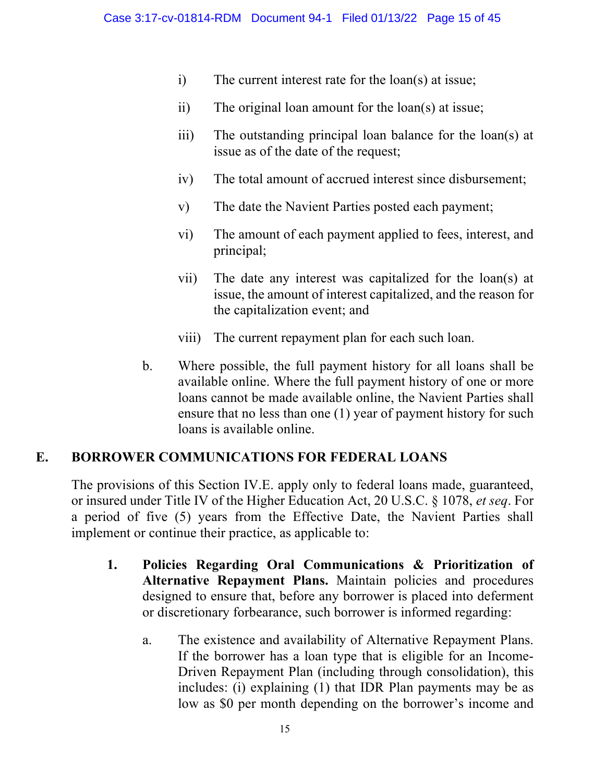- i) The current interest rate for the loan(s) at issue;
- ii) The original loan amount for the loan(s) at issue;
- iii) The outstanding principal loan balance for the loan(s) at issue as of the date of the request;
- iv) The total amount of accrued interest since disbursement;
- v) The date the Navient Parties posted each payment;
- vi) The amount of each payment applied to fees, interest, and principal;
- vii) The date any interest was capitalized for the loan(s) at issue, the amount of interest capitalized, and the reason for the capitalization event; and
- viii) The current repayment plan for each such loan.
- b. Where possible, the full payment history for all loans shall be available online. Where the full payment history of one or more loans cannot be made available online, the Navient Parties shall ensure that no less than one (1) year of payment history for such loans is available online.

#### **E. BORROWER COMMUNICATIONS FOR FEDERAL LOANS**

The provisions of this Section IV.E. apply only to federal loans made, guaranteed, or insured under Title IV of the Higher Education Act, 20 U.S.C. § 1078, *et seq*. For a period of five (5) years from the Effective Date, the Navient Parties shall implement or continue their practice, as applicable to:

- **1. Policies Regarding Oral Communications & Prioritization of Alternative Repayment Plans.** Maintain policies and procedures designed to ensure that, before any borrower is placed into deferment or discretionary forbearance, such borrower is informed regarding:
	- a. The existence and availability of Alternative Repayment Plans. If the borrower has a loan type that is eligible for an Income-Driven Repayment Plan (including through consolidation), this includes: (i) explaining (1) that IDR Plan payments may be as low as \$0 per month depending on the borrower's income and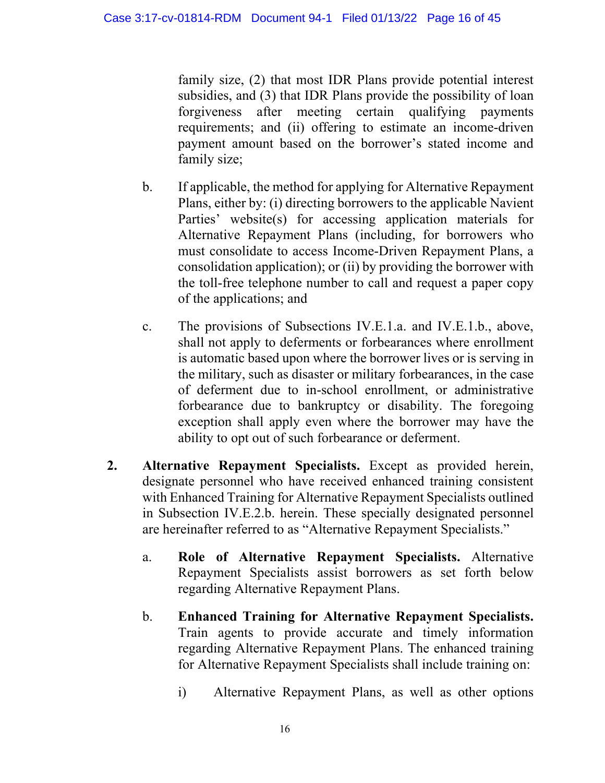family size, (2) that most IDR Plans provide potential interest subsidies, and (3) that IDR Plans provide the possibility of loan forgiveness after meeting certain qualifying payments requirements; and (ii) offering to estimate an income-driven payment amount based on the borrower's stated income and family size;

- b. If applicable, the method for applying for Alternative Repayment Plans, either by: (i) directing borrowers to the applicable Navient Parties' website(s) for accessing application materials for Alternative Repayment Plans (including, for borrowers who must consolidate to access Income-Driven Repayment Plans, a consolidation application); or (ii) by providing the borrower with the toll-free telephone number to call and request a paper copy of the applications; and
- c. The provisions of Subsections IV.E.1.a. and IV.E.1.b., above, shall not apply to deferments or forbearances where enrollment is automatic based upon where the borrower lives or is serving in the military, such as disaster or military forbearances, in the case of deferment due to in-school enrollment, or administrative forbearance due to bankruptcy or disability. The foregoing exception shall apply even where the borrower may have the ability to opt out of such forbearance or deferment.
- **2. Alternative Repayment Specialists.** Except as provided herein, designate personnel who have received enhanced training consistent with Enhanced Training for Alternative Repayment Specialists outlined in Subsection IV.E.2.b. herein. These specially designated personnel are hereinafter referred to as "Alternative Repayment Specialists."
	- a. **Role of Alternative Repayment Specialists.** Alternative Repayment Specialists assist borrowers as set forth below regarding Alternative Repayment Plans.
	- b. **Enhanced Training for Alternative Repayment Specialists.**  Train agents to provide accurate and timely information regarding Alternative Repayment Plans. The enhanced training for Alternative Repayment Specialists shall include training on:
		- i) Alternative Repayment Plans, as well as other options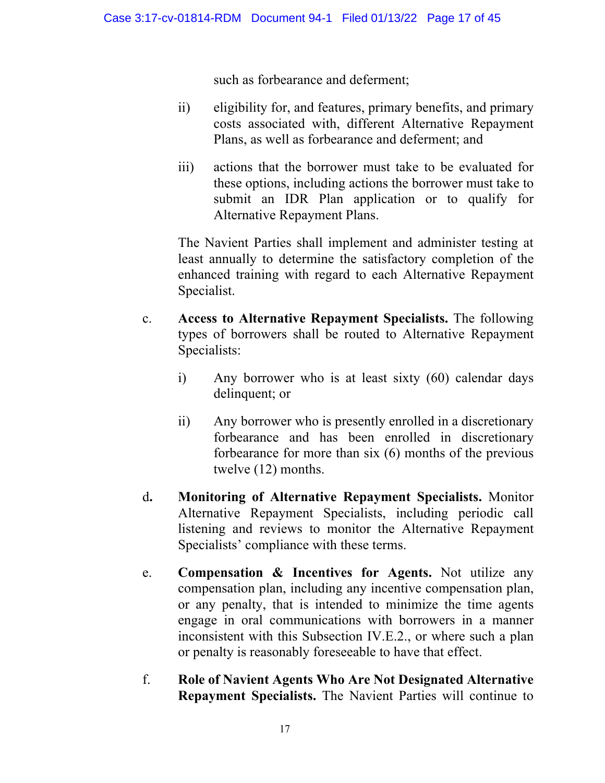such as forbearance and deferment;

- ii) eligibility for, and features, primary benefits, and primary costs associated with, different Alternative Repayment Plans, as well as forbearance and deferment; and
- iii) actions that the borrower must take to be evaluated for these options, including actions the borrower must take to submit an IDR Plan application or to qualify for Alternative Repayment Plans.

The Navient Parties shall implement and administer testing at least annually to determine the satisfactory completion of the enhanced training with regard to each Alternative Repayment Specialist.

- c. **Access to Alternative Repayment Specialists.** The following types of borrowers shall be routed to Alternative Repayment Specialists:
	- i) Any borrower who is at least sixty (60) calendar days delinquent; or
	- ii) Any borrower who is presently enrolled in a discretionary forbearance and has been enrolled in discretionary forbearance for more than six (6) months of the previous twelve (12) months.
- d**. Monitoring of Alternative Repayment Specialists.** Monitor Alternative Repayment Specialists, including periodic call listening and reviews to monitor the Alternative Repayment Specialists' compliance with these terms.
- e. **Compensation & Incentives for Agents.** Not utilize any compensation plan, including any incentive compensation plan, or any penalty, that is intended to minimize the time agents engage in oral communications with borrowers in a manner inconsistent with this Subsection IV.E.2., or where such a plan or penalty is reasonably foreseeable to have that effect.
- f. **Role of Navient Agents Who Are Not Designated Alternative Repayment Specialists.** The Navient Parties will continue to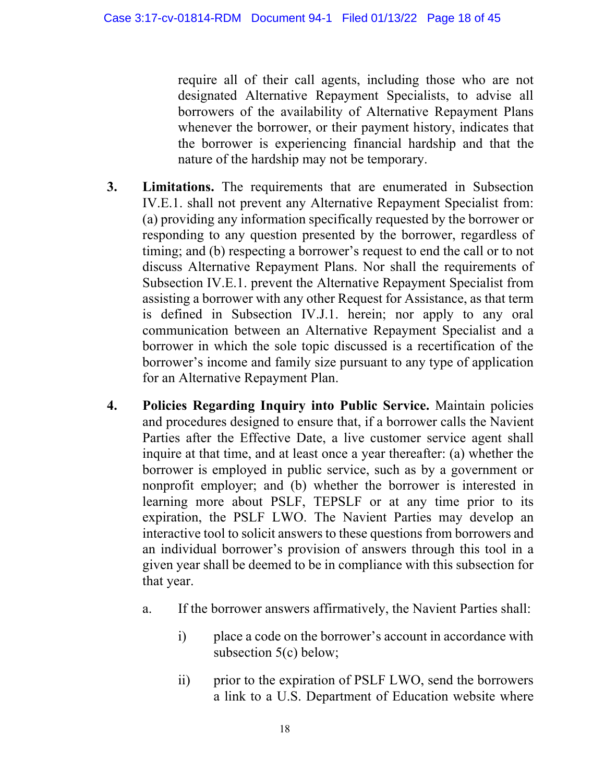require all of their call agents, including those who are not designated Alternative Repayment Specialists, to advise all borrowers of the availability of Alternative Repayment Plans whenever the borrower, or their payment history, indicates that the borrower is experiencing financial hardship and that the nature of the hardship may not be temporary.

- **3. Limitations.** The requirements that are enumerated in Subsection IV.E.1. shall not prevent any Alternative Repayment Specialist from: (a) providing any information specifically requested by the borrower or responding to any question presented by the borrower, regardless of timing; and (b) respecting a borrower's request to end the call or to not discuss Alternative Repayment Plans. Nor shall the requirements of Subsection IV.E.1. prevent the Alternative Repayment Specialist from assisting a borrower with any other Request for Assistance, as that term is defined in Subsection IV.J.1. herein; nor apply to any oral communication between an Alternative Repayment Specialist and a borrower in which the sole topic discussed is a recertification of the borrower's income and family size pursuant to any type of application for an Alternative Repayment Plan.
- **4. Policies Regarding Inquiry into Public Service.** Maintain policies and procedures designed to ensure that, if a borrower calls the Navient Parties after the Effective Date, a live customer service agent shall inquire at that time, and at least once a year thereafter: (a) whether the borrower is employed in public service, such as by a government or nonprofit employer; and (b) whether the borrower is interested in learning more about PSLF, TEPSLF or at any time prior to its expiration, the PSLF LWO. The Navient Parties may develop an interactive tool to solicit answers to these questions from borrowers and an individual borrower's provision of answers through this tool in a given year shall be deemed to be in compliance with this subsection for that year.
	- a. If the borrower answers affirmatively, the Navient Parties shall:
		- i) place a code on the borrower's account in accordance with subsection 5(c) below;
		- ii) prior to the expiration of PSLF LWO, send the borrowers a link to a U.S. Department of Education website where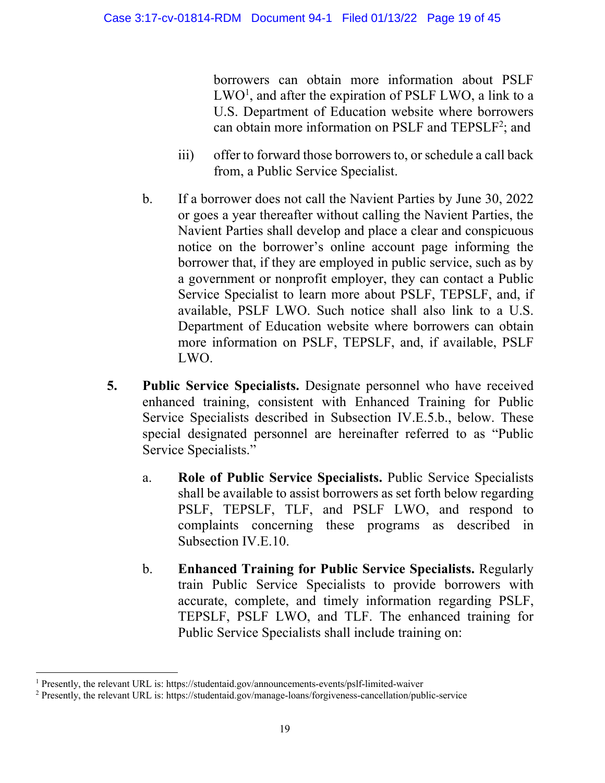borrowers can obtain more information about PSLF  $LWO<sup>1</sup>$ , and after the expiration of PSLF  $LWO$ , a link to a U.S. Department of Education website where borrowers can obtain more information on PSLF and TEPSLF<sup>2</sup>; and

- iii) offer to forward those borrowers to, or schedule a call back from, a Public Service Specialist.
- b. If a borrower does not call the Navient Parties by June 30, 2022 or goes a year thereafter without calling the Navient Parties, the Navient Parties shall develop and place a clear and conspicuous notice on the borrower's online account page informing the borrower that, if they are employed in public service, such as by a government or nonprofit employer, they can contact a Public Service Specialist to learn more about PSLF, TEPSLF, and, if available, PSLF LWO. Such notice shall also link to a U.S. Department of Education website where borrowers can obtain more information on PSLF, TEPSLF, and, if available, PSLF LWO.
- **5. Public Service Specialists.** Designate personnel who have received enhanced training, consistent with Enhanced Training for Public Service Specialists described in Subsection IV.E.5.b., below. These special designated personnel are hereinafter referred to as "Public Service Specialists."
	- a. **Role of Public Service Specialists.** Public Service Specialists shall be available to assist borrowers as set forth below regarding PSLF, TEPSLF, TLF, and PSLF LWO, and respond to complaints concerning these programs as described in Subsection IV.E.10.
	- b. **Enhanced Training for Public Service Specialists.** Regularly train Public Service Specialists to provide borrowers with accurate, complete, and timely information regarding PSLF, TEPSLF, PSLF LWO, and TLF. The enhanced training for Public Service Specialists shall include training on:

<sup>&</sup>lt;sup>1</sup> Presently, the relevant URL is: https://studentaid.gov/announcements-events/pslf-limited-waiver

<sup>2</sup> Presently, the relevant URL is: https://studentaid.gov/manage-loans/forgiveness-cancellation/public-service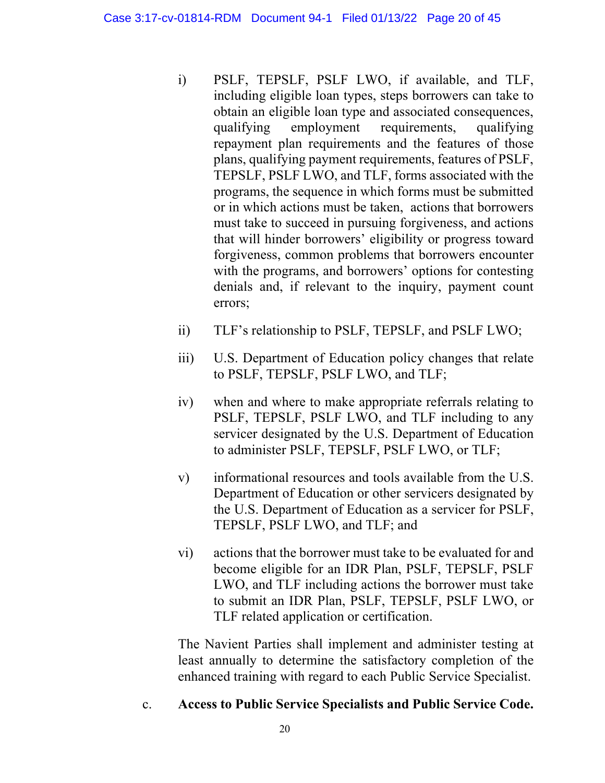- i) PSLF, TEPSLF, PSLF LWO, if available, and TLF, including eligible loan types, steps borrowers can take to obtain an eligible loan type and associated consequences, qualifying employment requirements, qualifying repayment plan requirements and the features of those plans, qualifying payment requirements, features of PSLF, TEPSLF, PSLF LWO, and TLF, forms associated with the programs, the sequence in which forms must be submitted or in which actions must be taken, actions that borrowers must take to succeed in pursuing forgiveness, and actions that will hinder borrowers' eligibility or progress toward forgiveness, common problems that borrowers encounter with the programs, and borrowers' options for contesting denials and, if relevant to the inquiry, payment count errors;
- ii) TLF's relationship to PSLF, TEPSLF, and PSLF LWO;
- iii) U.S. Department of Education policy changes that relate to PSLF, TEPSLF, PSLF LWO, and TLF;
- iv) when and where to make appropriate referrals relating to PSLF, TEPSLF, PSLF LWO, and TLF including to any servicer designated by the U.S. Department of Education to administer PSLF, TEPSLF, PSLF LWO, or TLF;
- v) informational resources and tools available from the U.S. Department of Education or other servicers designated by the U.S. Department of Education as a servicer for PSLF, TEPSLF, PSLF LWO, and TLF; and
- vi) actions that the borrower must take to be evaluated for and become eligible for an IDR Plan, PSLF, TEPSLF, PSLF LWO, and TLF including actions the borrower must take to submit an IDR Plan, PSLF, TEPSLF, PSLF LWO, or TLF related application or certification.

The Navient Parties shall implement and administer testing at least annually to determine the satisfactory completion of the enhanced training with regard to each Public Service Specialist.

c. **Access to Public Service Specialists and Public Service Code.**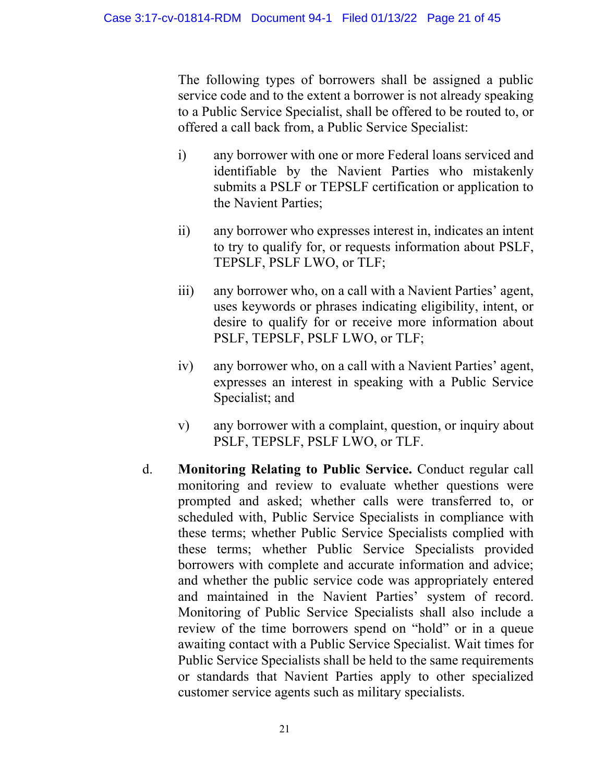The following types of borrowers shall be assigned a public service code and to the extent a borrower is not already speaking to a Public Service Specialist, shall be offered to be routed to, or offered a call back from, a Public Service Specialist:

- i) any borrower with one or more Federal loans serviced and identifiable by the Navient Parties who mistakenly submits a PSLF or TEPSLF certification or application to the Navient Parties;
- ii) any borrower who expresses interest in, indicates an intent to try to qualify for, or requests information about PSLF, TEPSLF, PSLF LWO, or TLF;
- iii) any borrower who, on a call with a Navient Parties' agent, uses keywords or phrases indicating eligibility, intent, or desire to qualify for or receive more information about PSLF, TEPSLF, PSLF LWO, or TLF;
- iv) any borrower who, on a call with a Navient Parties' agent, expresses an interest in speaking with a Public Service Specialist; and
- v) any borrower with a complaint, question, or inquiry about PSLF, TEPSLF, PSLF LWO, or TLF.
- d. **Monitoring Relating to Public Service.** Conduct regular call monitoring and review to evaluate whether questions were prompted and asked; whether calls were transferred to, or scheduled with, Public Service Specialists in compliance with these terms; whether Public Service Specialists complied with these terms; whether Public Service Specialists provided borrowers with complete and accurate information and advice; and whether the public service code was appropriately entered and maintained in the Navient Parties' system of record. Monitoring of Public Service Specialists shall also include a review of the time borrowers spend on "hold" or in a queue awaiting contact with a Public Service Specialist. Wait times for Public Service Specialists shall be held to the same requirements or standards that Navient Parties apply to other specialized customer service agents such as military specialists.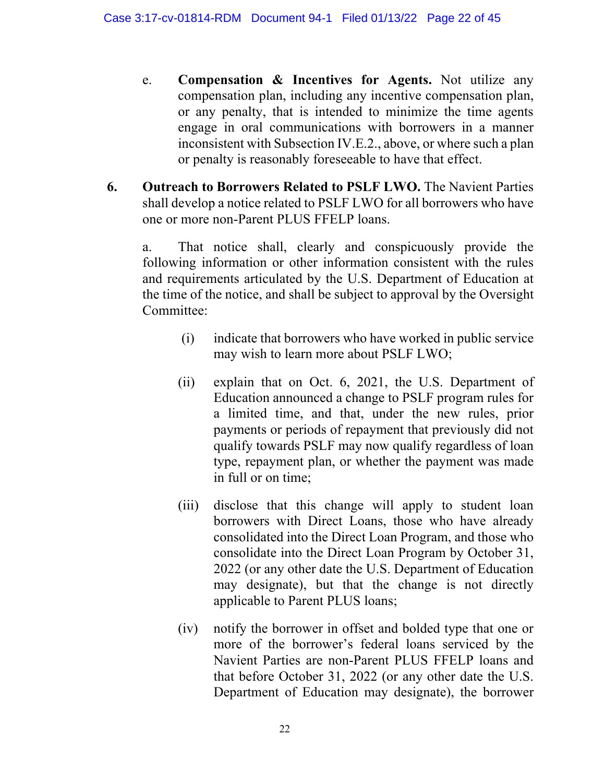- e. **Compensation & Incentives for Agents.** Not utilize any compensation plan, including any incentive compensation plan, or any penalty, that is intended to minimize the time agents engage in oral communications with borrowers in a manner inconsistent with Subsection IV.E.2., above, or where such a plan or penalty is reasonably foreseeable to have that effect.
- **6. Outreach to Borrowers Related to PSLF LWO.** The Navient Parties shall develop a notice related to PSLF LWO for all borrowers who have one or more non-Parent PLUS FFELP loans.

a. That notice shall, clearly and conspicuously provide the following information or other information consistent with the rules and requirements articulated by the U.S. Department of Education at the time of the notice, and shall be subject to approval by the Oversight Committee:

- (i) indicate that borrowers who have worked in public service may wish to learn more about PSLF LWO;
- (ii) explain that on Oct. 6, 2021, the U.S. Department of Education announced a change to PSLF program rules for a limited time, and that, under the new rules, prior payments or periods of repayment that previously did not qualify towards PSLF may now qualify regardless of loan type, repayment plan, or whether the payment was made in full or on time;
- (iii) disclose that this change will apply to student loan borrowers with Direct Loans, those who have already consolidated into the Direct Loan Program, and those who consolidate into the Direct Loan Program by October 31, 2022 (or any other date the U.S. Department of Education may designate), but that the change is not directly applicable to Parent PLUS loans;
- (iv) notify the borrower in offset and bolded type that one or more of the borrower's federal loans serviced by the Navient Parties are non-Parent PLUS FFELP loans and that before October 31, 2022 (or any other date the U.S. Department of Education may designate), the borrower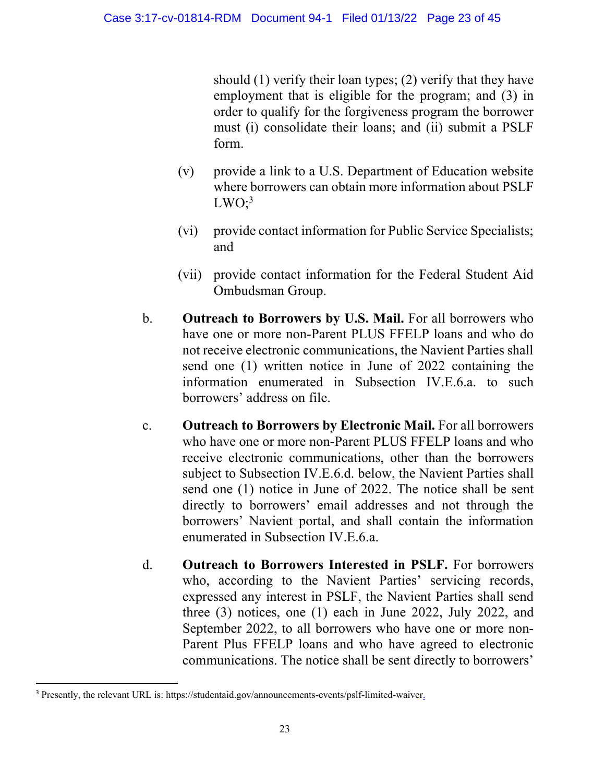should (1) verify their loan types; (2) verify that they have employment that is eligible for the program; and (3) in order to qualify for the forgiveness program the borrower must (i) consolidate their loans; and (ii) submit a PSLF form.

- (v) provide a link to a U.S. Department of Education website where borrowers can obtain more information about PSLF  $LWO$ ; $3$
- (vi) provide contact information for Public Service Specialists; and
- (vii) provide contact information for the Federal Student Aid Ombudsman Group.
- b. **Outreach to Borrowers by U.S. Mail.** For all borrowers who have one or more non-Parent PLUS FFELP loans and who do not receive electronic communications, the Navient Parties shall send one (1) written notice in June of 2022 containing the information enumerated in Subsection IV.E.6.a. to such borrowers' address on file.
- c. **Outreach to Borrowers by Electronic Mail.** For all borrowers who have one or more non-Parent PLUS FFELP loans and who receive electronic communications, other than the borrowers subject to Subsection IV.E.6.d. below, the Navient Parties shall send one (1) notice in June of 2022. The notice shall be sent directly to borrowers' email addresses and not through the borrowers' Navient portal, and shall contain the information enumerated in Subsection IV.E.6.a.
- d. **Outreach to Borrowers Interested in PSLF.** For borrowers who, according to the Navient Parties' servicing records, expressed any interest in PSLF, the Navient Parties shall send three (3) notices, one (1) each in June 2022, July 2022, and September 2022, to all borrowers who have one or more non-Parent Plus FFELP loans and who have agreed to electronic communications. The notice shall be sent directly to borrowers'

<sup>&</sup>lt;sup>3</sup> Presently, the relevant URL is: https://studentaid.gov/announcements-events/pslf-limited-waiver.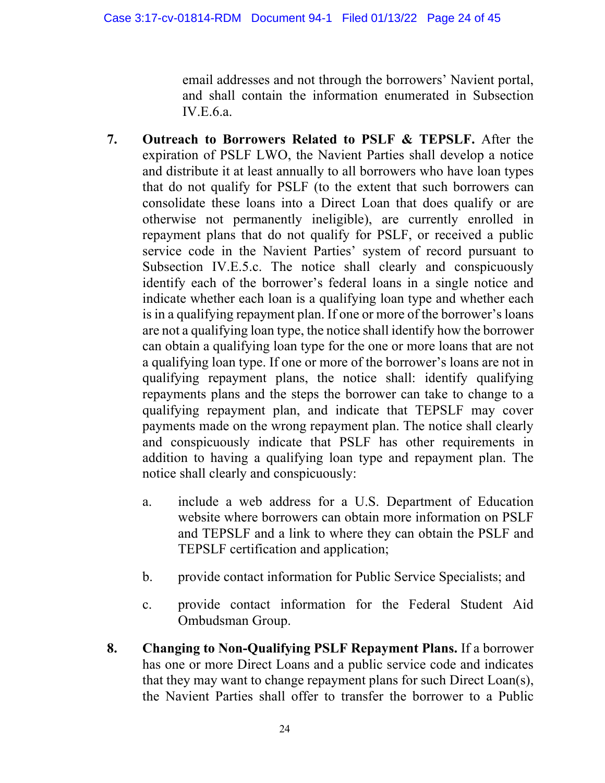email addresses and not through the borrowers' Navient portal, and shall contain the information enumerated in Subsection IV.E.6.a.

- **7. Outreach to Borrowers Related to PSLF & TEPSLF.** After the expiration of PSLF LWO, the Navient Parties shall develop a notice and distribute it at least annually to all borrowers who have loan types that do not qualify for PSLF (to the extent that such borrowers can consolidate these loans into a Direct Loan that does qualify or are otherwise not permanently ineligible), are currently enrolled in repayment plans that do not qualify for PSLF, or received a public service code in the Navient Parties' system of record pursuant to Subsection IV.E.5.c. The notice shall clearly and conspicuously identify each of the borrower's federal loans in a single notice and indicate whether each loan is a qualifying loan type and whether each is in a qualifying repayment plan. If one or more of the borrower's loans are not a qualifying loan type, the notice shall identify how the borrower can obtain a qualifying loan type for the one or more loans that are not a qualifying loan type. If one or more of the borrower's loans are not in qualifying repayment plans, the notice shall: identify qualifying repayments plans and the steps the borrower can take to change to a qualifying repayment plan, and indicate that TEPSLF may cover payments made on the wrong repayment plan. The notice shall clearly and conspicuously indicate that PSLF has other requirements in addition to having a qualifying loan type and repayment plan. The notice shall clearly and conspicuously:
	- a. include a web address for a U.S. Department of Education website where borrowers can obtain more information on PSLF and TEPSLF and a link to where they can obtain the PSLF and TEPSLF certification and application;
	- b. provide contact information for Public Service Specialists; and
	- c. provide contact information for the Federal Student Aid Ombudsman Group.
- **8. Changing to Non-Qualifying PSLF Repayment Plans.** If a borrower has one or more Direct Loans and a public service code and indicates that they may want to change repayment plans for such Direct Loan(s), the Navient Parties shall offer to transfer the borrower to a Public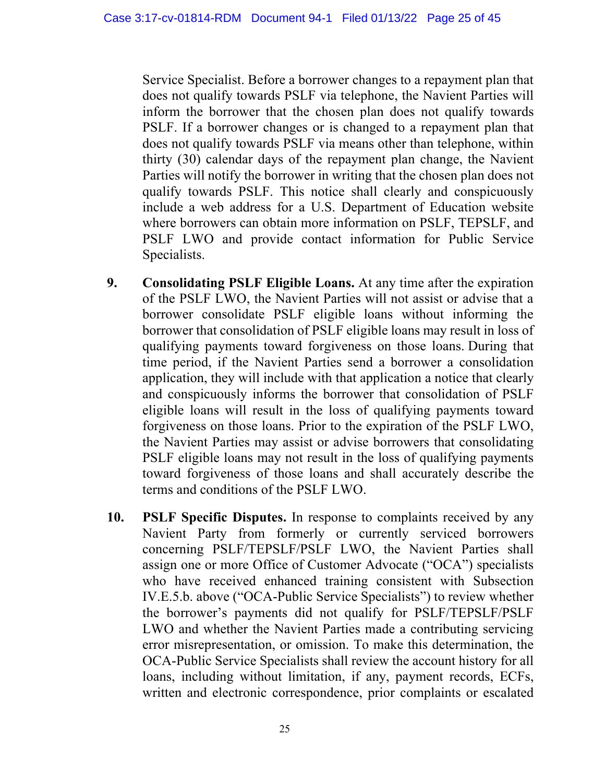Service Specialist. Before a borrower changes to a repayment plan that does not qualify towards PSLF via telephone, the Navient Parties will inform the borrower that the chosen plan does not qualify towards PSLF. If a borrower changes or is changed to a repayment plan that does not qualify towards PSLF via means other than telephone, within thirty (30) calendar days of the repayment plan change, the Navient Parties will notify the borrower in writing that the chosen plan does not qualify towards PSLF. This notice shall clearly and conspicuously include a web address for a U.S. Department of Education website where borrowers can obtain more information on PSLF, TEPSLF, and PSLF LWO and provide contact information for Public Service Specialists.

- **9. Consolidating PSLF Eligible Loans.** At any time after the expiration of the PSLF LWO, the Navient Parties will not assist or advise that a borrower consolidate PSLF eligible loans without informing the borrower that consolidation of PSLF eligible loans may result in loss of qualifying payments toward forgiveness on those loans. During that time period, if the Navient Parties send a borrower a consolidation application, they will include with that application a notice that clearly and conspicuously informs the borrower that consolidation of PSLF eligible loans will result in the loss of qualifying payments toward forgiveness on those loans. Prior to the expiration of the PSLF LWO, the Navient Parties may assist or advise borrowers that consolidating PSLF eligible loans may not result in the loss of qualifying payments toward forgiveness of those loans and shall accurately describe the terms and conditions of the PSLF LWO.
- **10. PSLF Specific Disputes.** In response to complaints received by any Navient Party from formerly or currently serviced borrowers concerning PSLF/TEPSLF/PSLF LWO, the Navient Parties shall assign one or more Office of Customer Advocate ("OCA") specialists who have received enhanced training consistent with Subsection IV.E.5.b. above ("OCA-Public Service Specialists") to review whether the borrower's payments did not qualify for PSLF/TEPSLF/PSLF LWO and whether the Navient Parties made a contributing servicing error misrepresentation, or omission. To make this determination, the OCA-Public Service Specialists shall review the account history for all loans, including without limitation, if any, payment records, ECFs, written and electronic correspondence, prior complaints or escalated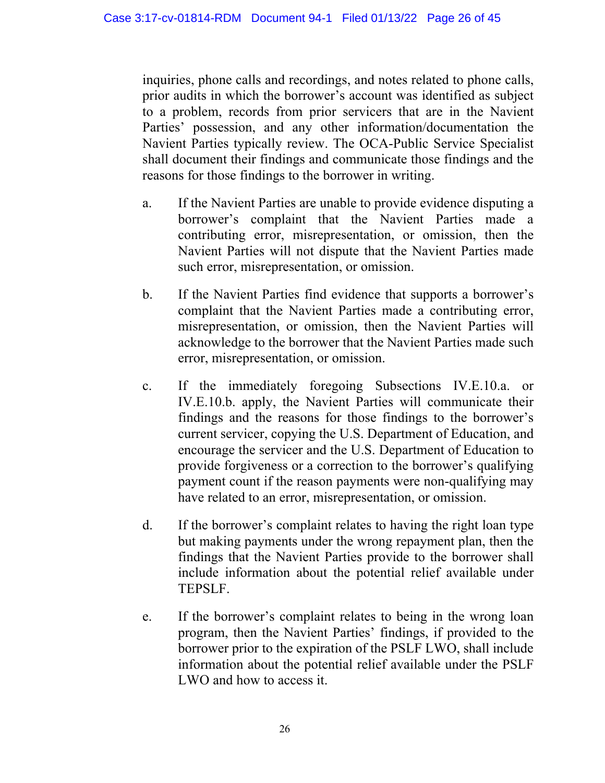inquiries, phone calls and recordings, and notes related to phone calls, prior audits in which the borrower's account was identified as subject to a problem, records from prior servicers that are in the Navient Parties' possession, and any other information/documentation the Navient Parties typically review. The OCA-Public Service Specialist shall document their findings and communicate those findings and the reasons for those findings to the borrower in writing.

- a. If the Navient Parties are unable to provide evidence disputing a borrower's complaint that the Navient Parties made a contributing error, misrepresentation, or omission, then the Navient Parties will not dispute that the Navient Parties made such error, misrepresentation, or omission.
- b. If the Navient Parties find evidence that supports a borrower's complaint that the Navient Parties made a contributing error, misrepresentation, or omission, then the Navient Parties will acknowledge to the borrower that the Navient Parties made such error, misrepresentation, or omission.
- c. If the immediately foregoing Subsections IV.E.10.a. or IV.E.10.b. apply, the Navient Parties will communicate their findings and the reasons for those findings to the borrower's current servicer, copying the U.S. Department of Education, and encourage the servicer and the U.S. Department of Education to provide forgiveness or a correction to the borrower's qualifying payment count if the reason payments were non-qualifying may have related to an error, misrepresentation, or omission.
- d. If the borrower's complaint relates to having the right loan type but making payments under the wrong repayment plan, then the findings that the Navient Parties provide to the borrower shall include information about the potential relief available under TEPSLF.
- e. If the borrower's complaint relates to being in the wrong loan program, then the Navient Parties' findings, if provided to the borrower prior to the expiration of the PSLF LWO, shall include information about the potential relief available under the PSLF LWO and how to access it.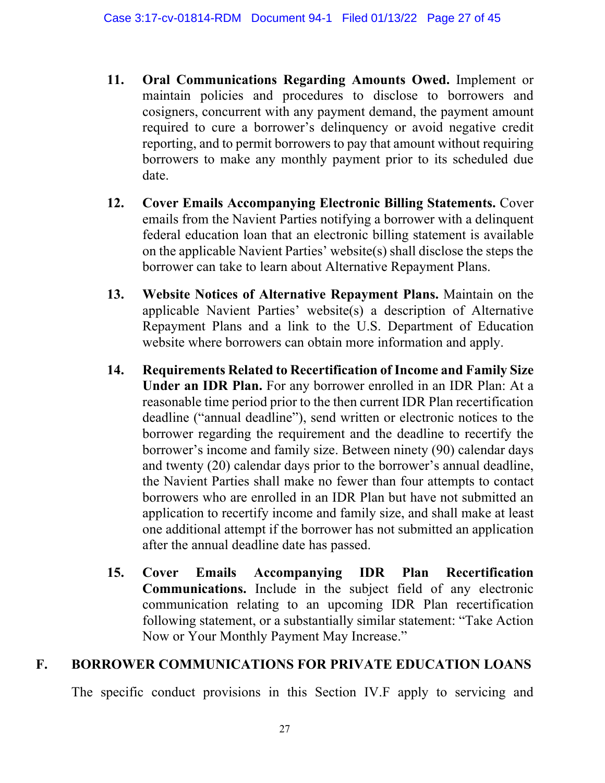- **11. Oral Communications Regarding Amounts Owed.** Implement or maintain policies and procedures to disclose to borrowers and cosigners, concurrent with any payment demand, the payment amount required to cure a borrower's delinquency or avoid negative credit reporting, and to permit borrowers to pay that amount without requiring borrowers to make any monthly payment prior to its scheduled due date.
- **12. Cover Emails Accompanying Electronic Billing Statements.** Cover emails from the Navient Parties notifying a borrower with a delinquent federal education loan that an electronic billing statement is available on the applicable Navient Parties' website(s) shall disclose the steps the borrower can take to learn about Alternative Repayment Plans.
- **13. Website Notices of Alternative Repayment Plans.** Maintain on the applicable Navient Parties' website(s) a description of Alternative Repayment Plans and a link to the U.S. Department of Education website where borrowers can obtain more information and apply.
- **14. Requirements Related to Recertification of Income and Family Size Under an IDR Plan.** For any borrower enrolled in an IDR Plan: At a reasonable time period prior to the then current IDR Plan recertification deadline ("annual deadline"), send written or electronic notices to the borrower regarding the requirement and the deadline to recertify the borrower's income and family size. Between ninety (90) calendar days and twenty (20) calendar days prior to the borrower's annual deadline, the Navient Parties shall make no fewer than four attempts to contact borrowers who are enrolled in an IDR Plan but have not submitted an application to recertify income and family size, and shall make at least one additional attempt if the borrower has not submitted an application after the annual deadline date has passed.
- **15. Cover Emails Accompanying IDR Plan Recertification Communications.** Include in the subject field of any electronic communication relating to an upcoming IDR Plan recertification following statement, or a substantially similar statement: "Take Action Now or Your Monthly Payment May Increase."

# **F. BORROWER COMMUNICATIONS FOR PRIVATE EDUCATION LOANS**

The specific conduct provisions in this Section IV.F apply to servicing and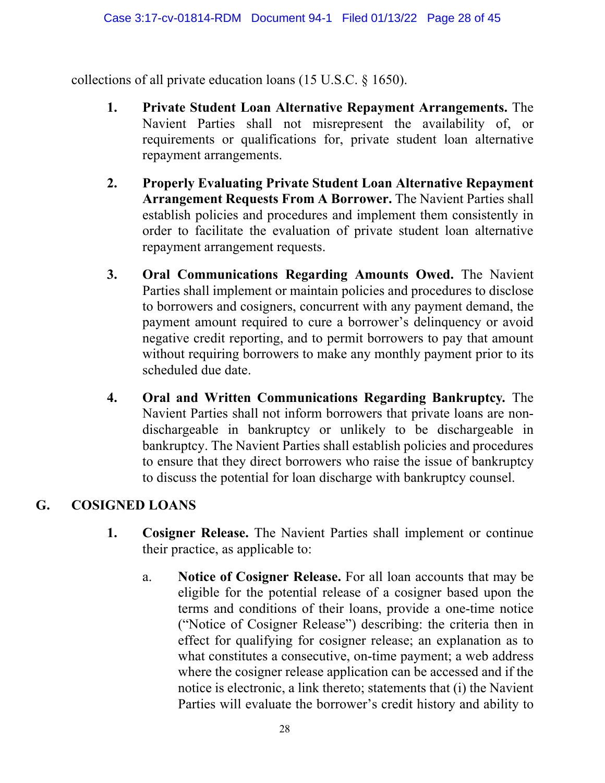collections of all private education loans (15 U.S.C. § 1650).

- **1. Private Student Loan Alternative Repayment Arrangements.** The Navient Parties shall not misrepresent the availability of, or requirements or qualifications for, private student loan alternative repayment arrangements.
- **2. Properly Evaluating Private Student Loan Alternative Repayment Arrangement Requests From A Borrower.** The Navient Parties shall establish policies and procedures and implement them consistently in order to facilitate the evaluation of private student loan alternative repayment arrangement requests.
- **3. Oral Communications Regarding Amounts Owed.** The Navient Parties shall implement or maintain policies and procedures to disclose to borrowers and cosigners, concurrent with any payment demand, the payment amount required to cure a borrower's delinquency or avoid negative credit reporting, and to permit borrowers to pay that amount without requiring borrowers to make any monthly payment prior to its scheduled due date.
- **4. Oral and Written Communications Regarding Bankruptcy***.* The Navient Parties shall not inform borrowers that private loans are nondischargeable in bankruptcy or unlikely to be dischargeable in bankruptcy. The Navient Parties shall establish policies and procedures to ensure that they direct borrowers who raise the issue of bankruptcy to discuss the potential for loan discharge with bankruptcy counsel.

## **G. COSIGNED LOANS**

- **1. Cosigner Release.** The Navient Parties shall implement or continue their practice, as applicable to:
	- a. **Notice of Cosigner Release.** For all loan accounts that may be eligible for the potential release of a cosigner based upon the terms and conditions of their loans, provide a one-time notice ("Notice of Cosigner Release") describing: the criteria then in effect for qualifying for cosigner release; an explanation as to what constitutes a consecutive, on-time payment; a web address where the cosigner release application can be accessed and if the notice is electronic, a link thereto; statements that (i) the Navient Parties will evaluate the borrower's credit history and ability to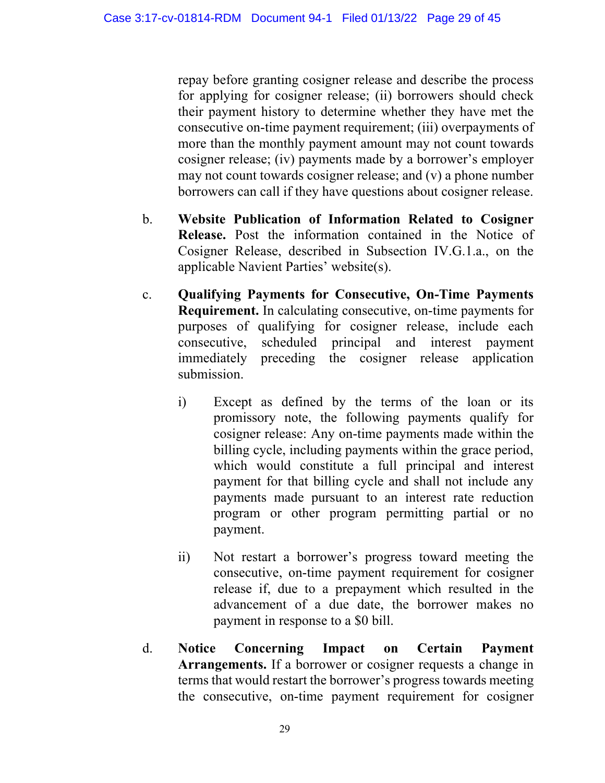repay before granting cosigner release and describe the process for applying for cosigner release; (ii) borrowers should check their payment history to determine whether they have met the consecutive on-time payment requirement; (iii) overpayments of more than the monthly payment amount may not count towards cosigner release; (iv) payments made by a borrower's employer may not count towards cosigner release; and (v) a phone number borrowers can call if they have questions about cosigner release.

- b. **Website Publication of Information Related to Cosigner Release.** Post the information contained in the Notice of Cosigner Release, described in Subsection IV.G.1.a., on the applicable Navient Parties' website(s).
- c. **Qualifying Payments for Consecutive, On-Time Payments Requirement.** In calculating consecutive, on-time payments for purposes of qualifying for cosigner release, include each consecutive, scheduled principal and interest payment immediately preceding the cosigner release application submission.
	- i) Except as defined by the terms of the loan or its promissory note, the following payments qualify for cosigner release: Any on-time payments made within the billing cycle, including payments within the grace period, which would constitute a full principal and interest payment for that billing cycle and shall not include any payments made pursuant to an interest rate reduction program or other program permitting partial or no payment.
	- ii) Not restart a borrower's progress toward meeting the consecutive, on-time payment requirement for cosigner release if, due to a prepayment which resulted in the advancement of a due date, the borrower makes no payment in response to a \$0 bill.
- d. **Notice Concerning Impact on Certain Payment Arrangements.** If a borrower or cosigner requests a change in terms that would restart the borrower's progress towards meeting the consecutive, on-time payment requirement for cosigner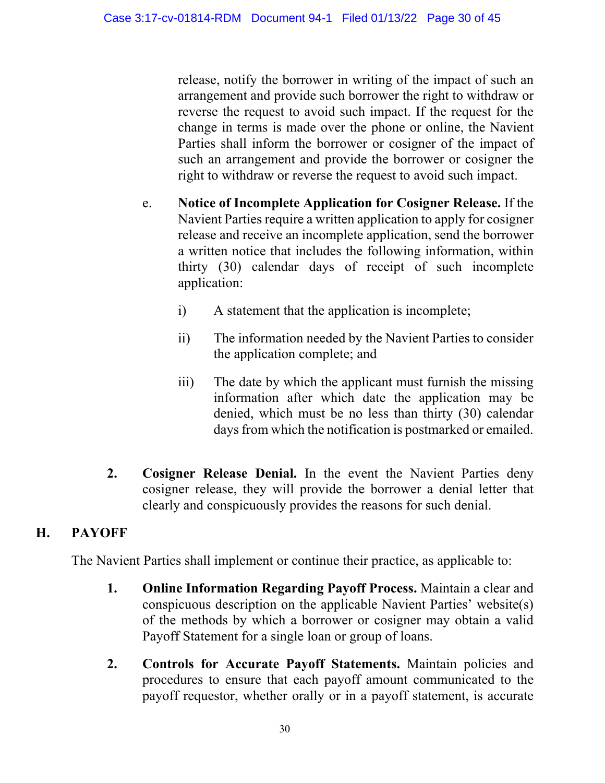release, notify the borrower in writing of the impact of such an arrangement and provide such borrower the right to withdraw or reverse the request to avoid such impact. If the request for the change in terms is made over the phone or online, the Navient Parties shall inform the borrower or cosigner of the impact of such an arrangement and provide the borrower or cosigner the right to withdraw or reverse the request to avoid such impact.

- e. **Notice of Incomplete Application for Cosigner Release.** If the Navient Parties require a written application to apply for cosigner release and receive an incomplete application, send the borrower a written notice that includes the following information, within thirty (30) calendar days of receipt of such incomplete application:
	- i) A statement that the application is incomplete;
	- ii) The information needed by the Navient Parties to consider the application complete; and
	- iii) The date by which the applicant must furnish the missing information after which date the application may be denied, which must be no less than thirty (30) calendar days from which the notification is postmarked or emailed.
- **2. Cosigner Release Denial.** In the event the Navient Parties deny cosigner release, they will provide the borrower a denial letter that clearly and conspicuously provides the reasons for such denial.

#### **H. PAYOFF**

The Navient Parties shall implement or continue their practice, as applicable to:

- **1. Online Information Regarding Payoff Process.** Maintain a clear and conspicuous description on the applicable Navient Parties' website(s) of the methods by which a borrower or cosigner may obtain a valid Payoff Statement for a single loan or group of loans.
- **2. Controls for Accurate Payoff Statements.** Maintain policies and procedures to ensure that each payoff amount communicated to the payoff requestor, whether orally or in a payoff statement, is accurate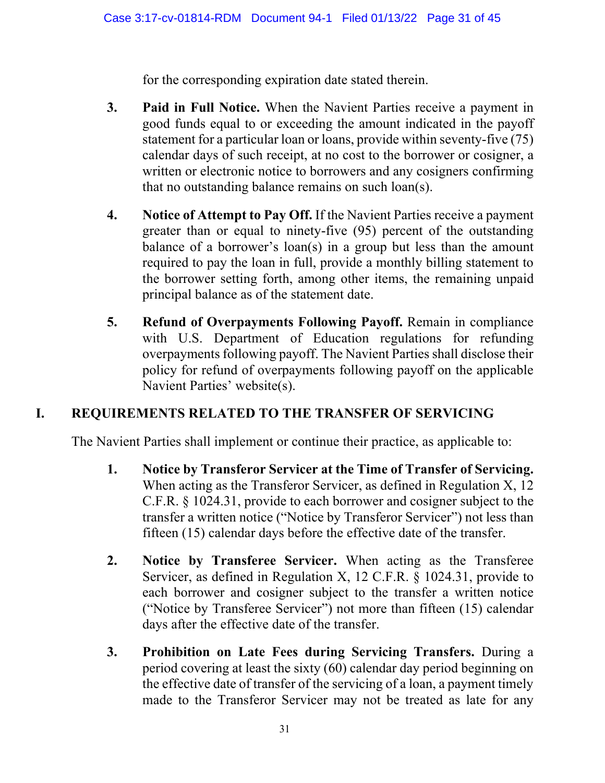for the corresponding expiration date stated therein.

- **3. Paid in Full Notice.** When the Navient Parties receive a payment in good funds equal to or exceeding the amount indicated in the payoff statement for a particular loan or loans, provide within seventy-five (75) calendar days of such receipt, at no cost to the borrower or cosigner, a written or electronic notice to borrowers and any cosigners confirming that no outstanding balance remains on such loan(s).
- **4. Notice of Attempt to Pay Off.** If the Navient Parties receive a payment greater than or equal to ninety-five (95) percent of the outstanding balance of a borrower's loan(s) in a group but less than the amount required to pay the loan in full, provide a monthly billing statement to the borrower setting forth, among other items, the remaining unpaid principal balance as of the statement date.
- **5. Refund of Overpayments Following Payoff.** Remain in compliance with U.S. Department of Education regulations for refunding overpayments following payoff. The Navient Parties shall disclose their policy for refund of overpayments following payoff on the applicable Navient Parties' website(s).

## **I. REQUIREMENTS RELATED TO THE TRANSFER OF SERVICING**

The Navient Parties shall implement or continue their practice, as applicable to:

- **1. Notice by Transferor Servicer at the Time of Transfer of Servicing.** When acting as the Transferor Servicer, as defined in Regulation X, 12 C.F.R. § 1024.31, provide to each borrower and cosigner subject to the transfer a written notice ("Notice by Transferor Servicer") not less than fifteen (15) calendar days before the effective date of the transfer.
- **2. Notice by Transferee Servicer.** When acting as the Transferee Servicer, as defined in Regulation X, 12 C.F.R. § 1024.31, provide to each borrower and cosigner subject to the transfer a written notice ("Notice by Transferee Servicer") not more than fifteen (15) calendar days after the effective date of the transfer.
- **3. Prohibition on Late Fees during Servicing Transfers.** During a period covering at least the sixty (60) calendar day period beginning on the effective date of transfer of the servicing of a loan, a payment timely made to the Transferor Servicer may not be treated as late for any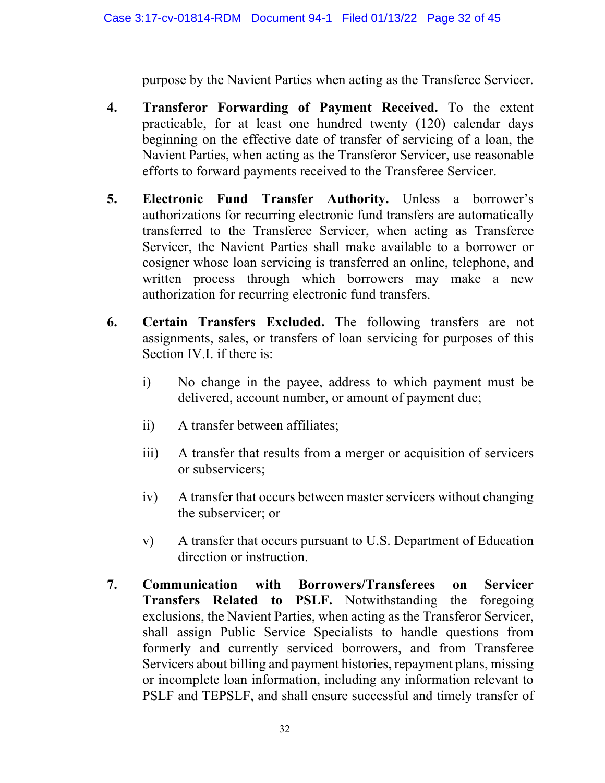purpose by the Navient Parties when acting as the Transferee Servicer.

- **4. Transferor Forwarding of Payment Received.** To the extent practicable, for at least one hundred twenty (120) calendar days beginning on the effective date of transfer of servicing of a loan, the Navient Parties, when acting as the Transferor Servicer, use reasonable efforts to forward payments received to the Transferee Servicer.
- **5. Electronic Fund Transfer Authority.** Unless a borrower's authorizations for recurring electronic fund transfers are automatically transferred to the Transferee Servicer, when acting as Transferee Servicer, the Navient Parties shall make available to a borrower or cosigner whose loan servicing is transferred an online, telephone, and written process through which borrowers may make a new authorization for recurring electronic fund transfers.
- **6. Certain Transfers Excluded.** The following transfers are not assignments, sales, or transfers of loan servicing for purposes of this Section IV.I. if there is:
	- i) No change in the payee, address to which payment must be delivered, account number, or amount of payment due;
	- ii) A transfer between affiliates;
	- iii) A transfer that results from a merger or acquisition of servicers or subservicers;
	- iv) A transfer that occurs between master servicers without changing the subservicer; or
	- v) A transfer that occurs pursuant to U.S. Department of Education direction or instruction.
- **7. Communication with Borrowers/Transferees on Servicer Transfers Related to PSLF.** Notwithstanding the foregoing exclusions, the Navient Parties, when acting as the Transferor Servicer, shall assign Public Service Specialists to handle questions from formerly and currently serviced borrowers, and from Transferee Servicers about billing and payment histories, repayment plans, missing or incomplete loan information, including any information relevant to PSLF and TEPSLF, and shall ensure successful and timely transfer of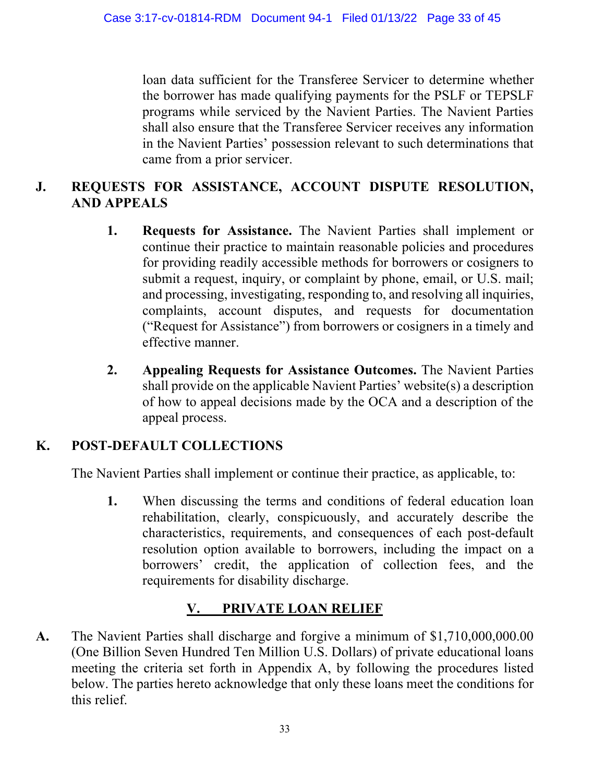loan data sufficient for the Transferee Servicer to determine whether the borrower has made qualifying payments for the PSLF or TEPSLF programs while serviced by the Navient Parties. The Navient Parties shall also ensure that the Transferee Servicer receives any information in the Navient Parties' possession relevant to such determinations that came from a prior servicer.

## **J. REQUESTS FOR ASSISTANCE, ACCOUNT DISPUTE RESOLUTION, AND APPEALS**

- **1. Requests for Assistance.** The Navient Parties shall implement or continue their practice to maintain reasonable policies and procedures for providing readily accessible methods for borrowers or cosigners to submit a request, inquiry, or complaint by phone, email, or U.S. mail; and processing, investigating, responding to, and resolving all inquiries, complaints, account disputes, and requests for documentation ("Request for Assistance") from borrowers or cosigners in a timely and effective manner.
- **2. Appealing Requests for Assistance Outcomes.** The Navient Parties shall provide on the applicable Navient Parties' website(s) a description of how to appeal decisions made by the OCA and a description of the appeal process.

# **K. POST-DEFAULT COLLECTIONS**

The Navient Parties shall implement or continue their practice, as applicable, to:

**1.** When discussing the terms and conditions of federal education loan rehabilitation, clearly, conspicuously, and accurately describe the characteristics, requirements, and consequences of each post-default resolution option available to borrowers, including the impact on a borrowers' credit, the application of collection fees, and the requirements for disability discharge.

## **V. PRIVATE LOAN RELIEF**

**A.** The Navient Parties shall discharge and forgive a minimum of \$1,710,000,000.00 (One Billion Seven Hundred Ten Million U.S. Dollars) of private educational loans meeting the criteria set forth in Appendix A, by following the procedures listed below. The parties hereto acknowledge that only these loans meet the conditions for this relief.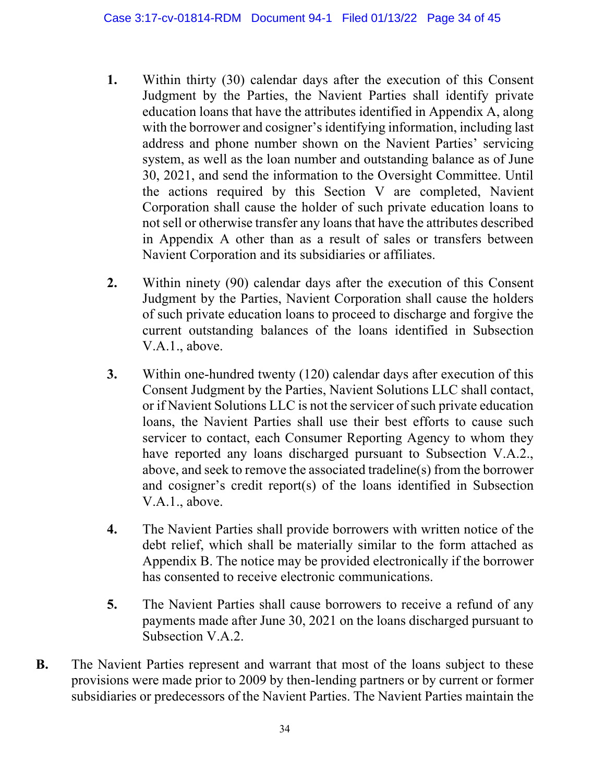- **1.** Within thirty (30) calendar days after the execution of this Consent Judgment by the Parties, the Navient Parties shall identify private education loans that have the attributes identified in Appendix A, along with the borrower and cosigner's identifying information, including last address and phone number shown on the Navient Parties' servicing system, as well as the loan number and outstanding balance as of June 30, 2021, and send the information to the Oversight Committee. Until the actions required by this Section V are completed, Navient Corporation shall cause the holder of such private education loans to not sell or otherwise transfer any loans that have the attributes described in Appendix A other than as a result of sales or transfers between Navient Corporation and its subsidiaries or affiliates.
- **2.** Within ninety (90) calendar days after the execution of this Consent Judgment by the Parties, Navient Corporation shall cause the holders of such private education loans to proceed to discharge and forgive the current outstanding balances of the loans identified in Subsection V.A.1., above.
- **3.** Within one-hundred twenty (120) calendar days after execution of this Consent Judgment by the Parties, Navient Solutions LLC shall contact, or if Navient Solutions LLC is not the servicer of such private education loans, the Navient Parties shall use their best efforts to cause such servicer to contact, each Consumer Reporting Agency to whom they have reported any loans discharged pursuant to Subsection V.A.2., above, and seek to remove the associated tradeline(s) from the borrower and cosigner's credit report(s) of the loans identified in Subsection V.A.1., above.
- **4.** The Navient Parties shall provide borrowers with written notice of the debt relief, which shall be materially similar to the form attached as Appendix B. The notice may be provided electronically if the borrower has consented to receive electronic communications.
- **5.** The Navient Parties shall cause borrowers to receive a refund of any payments made after June 30, 2021 on the loans discharged pursuant to Subsection V.A.2.
- **B.** The Navient Parties represent and warrant that most of the loans subject to these provisions were made prior to 2009 by then-lending partners or by current or former subsidiaries or predecessors of the Navient Parties. The Navient Parties maintain the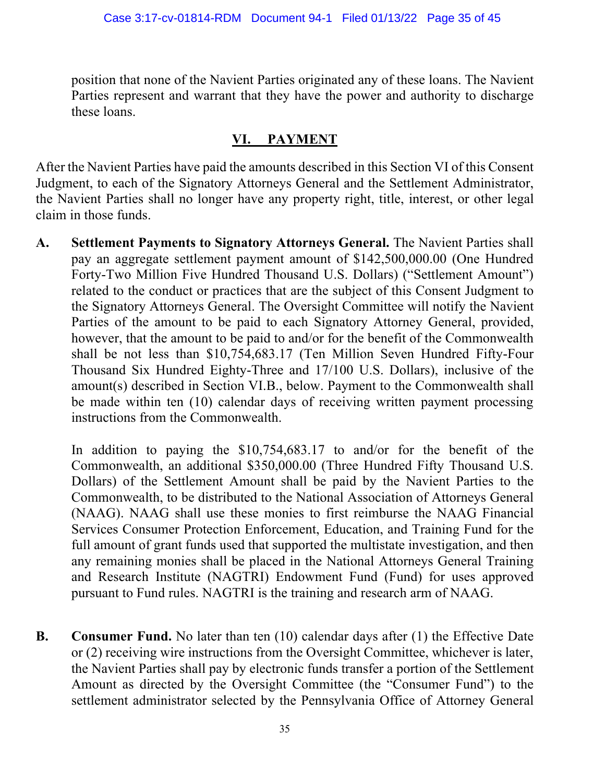position that none of the Navient Parties originated any of these loans. The Navient Parties represent and warrant that they have the power and authority to discharge these loans.

#### **VI. PAYMENT**

After the Navient Parties have paid the amounts described in this Section VI of this Consent Judgment, to each of the Signatory Attorneys General and the Settlement Administrator, the Navient Parties shall no longer have any property right, title, interest, or other legal claim in those funds.

**A. Settlement Payments to Signatory Attorneys General.** The Navient Parties shall pay an aggregate settlement payment amount of \$142,500,000.00 (One Hundred Forty-Two Million Five Hundred Thousand U.S. Dollars) ("Settlement Amount") related to the conduct or practices that are the subject of this Consent Judgment to the Signatory Attorneys General. The Oversight Committee will notify the Navient Parties of the amount to be paid to each Signatory Attorney General, provided, however, that the amount to be paid to and/or for the benefit of the Commonwealth shall be not less than \$10,754,683.17 (Ten Million Seven Hundred Fifty-Four Thousand Six Hundred Eighty-Three and 17/100 U.S. Dollars), inclusive of the amount(s) described in Section VI.B., below. Payment to the Commonwealth shall be made within ten (10) calendar days of receiving written payment processing instructions from the Commonwealth.

In addition to paying the \$10,754,683.17 to and/or for the benefit of the Commonwealth, an additional \$350,000.00 (Three Hundred Fifty Thousand U.S. Dollars) of the Settlement Amount shall be paid by the Navient Parties to the Commonwealth, to be distributed to the National Association of Attorneys General (NAAG). NAAG shall use these monies to first reimburse the NAAG Financial Services Consumer Protection Enforcement, Education, and Training Fund for the full amount of grant funds used that supported the multistate investigation, and then any remaining monies shall be placed in the National Attorneys General Training and Research Institute (NAGTRI) Endowment Fund (Fund) for uses approved pursuant to Fund rules. NAGTRI is the training and research arm of NAAG.

**B. Consumer Fund.** No later than ten (10) calendar days after (1) the Effective Date or (2) receiving wire instructions from the Oversight Committee, whichever is later, the Navient Parties shall pay by electronic funds transfer a portion of the Settlement Amount as directed by the Oversight Committee (the "Consumer Fund") to the settlement administrator selected by the Pennsylvania Office of Attorney General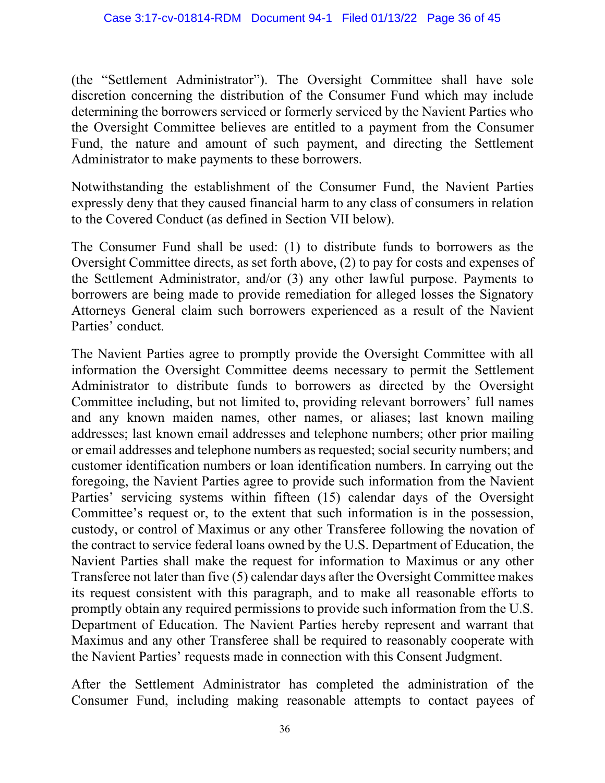(the "Settlement Administrator"). The Oversight Committee shall have sole discretion concerning the distribution of the Consumer Fund which may include determining the borrowers serviced or formerly serviced by the Navient Parties who the Oversight Committee believes are entitled to a payment from the Consumer Fund, the nature and amount of such payment, and directing the Settlement Administrator to make payments to these borrowers.

Notwithstanding the establishment of the Consumer Fund, the Navient Parties expressly deny that they caused financial harm to any class of consumers in relation to the Covered Conduct (as defined in Section VII below).

The Consumer Fund shall be used: (1) to distribute funds to borrowers as the Oversight Committee directs, as set forth above, (2) to pay for costs and expenses of the Settlement Administrator, and/or (3) any other lawful purpose. Payments to borrowers are being made to provide remediation for alleged losses the Signatory Attorneys General claim such borrowers experienced as a result of the Navient Parties' conduct.

The Navient Parties agree to promptly provide the Oversight Committee with all information the Oversight Committee deems necessary to permit the Settlement Administrator to distribute funds to borrowers as directed by the Oversight Committee including, but not limited to, providing relevant borrowers' full names and any known maiden names, other names, or aliases; last known mailing addresses; last known email addresses and telephone numbers; other prior mailing or email addresses and telephone numbers as requested; social security numbers; and customer identification numbers or loan identification numbers. In carrying out the foregoing, the Navient Parties agree to provide such information from the Navient Parties' servicing systems within fifteen (15) calendar days of the Oversight Committee's request or, to the extent that such information is in the possession, custody, or control of Maximus or any other Transferee following the novation of the contract to service federal loans owned by the U.S. Department of Education, the Navient Parties shall make the request for information to Maximus or any other Transferee not later than five (5) calendar days after the Oversight Committee makes its request consistent with this paragraph, and to make all reasonable efforts to promptly obtain any required permissions to provide such information from the U.S. Department of Education. The Navient Parties hereby represent and warrant that Maximus and any other Transferee shall be required to reasonably cooperate with the Navient Parties' requests made in connection with this Consent Judgment.

After the Settlement Administrator has completed the administration of the Consumer Fund, including making reasonable attempts to contact payees of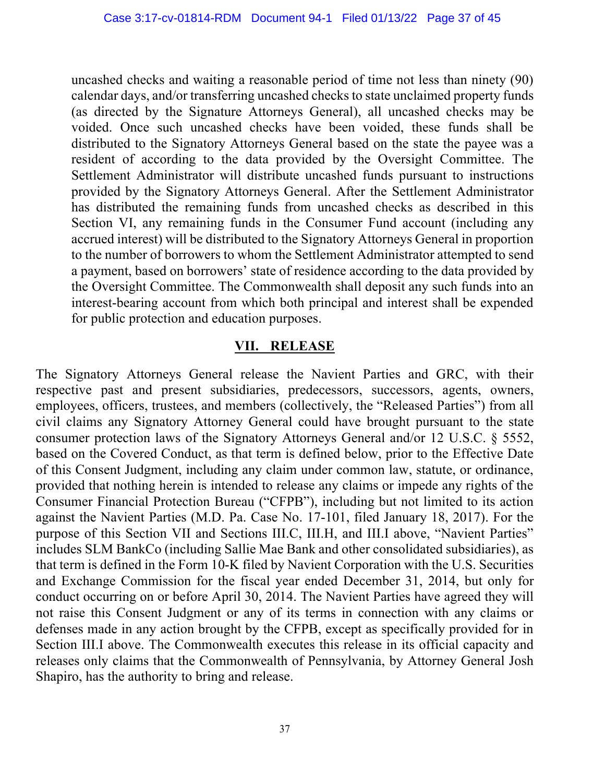uncashed checks and waiting a reasonable period of time not less than ninety (90) calendar days, and/or transferring uncashed checks to state unclaimed property funds (as directed by the Signature Attorneys General), all uncashed checks may be voided. Once such uncashed checks have been voided, these funds shall be distributed to the Signatory Attorneys General based on the state the payee was a resident of according to the data provided by the Oversight Committee. The Settlement Administrator will distribute uncashed funds pursuant to instructions provided by the Signatory Attorneys General. After the Settlement Administrator has distributed the remaining funds from uncashed checks as described in this Section VI, any remaining funds in the Consumer Fund account (including any accrued interest) will be distributed to the Signatory Attorneys General in proportion to the number of borrowers to whom the Settlement Administrator attempted to send a payment, based on borrowers' state of residence according to the data provided by the Oversight Committee. The Commonwealth shall deposit any such funds into an interest-bearing account from which both principal and interest shall be expended for public protection and education purposes.

#### **VII. RELEASE**

The Signatory Attorneys General release the Navient Parties and GRC, with their respective past and present subsidiaries, predecessors, successors, agents, owners, employees, officers, trustees, and members (collectively, the "Released Parties") from all civil claims any Signatory Attorney General could have brought pursuant to the state consumer protection laws of the Signatory Attorneys General and/or 12 U.S.C. § 5552, based on the Covered Conduct, as that term is defined below, prior to the Effective Date of this Consent Judgment, including any claim under common law, statute, or ordinance, provided that nothing herein is intended to release any claims or impede any rights of the Consumer Financial Protection Bureau ("CFPB"), including but not limited to its action against the Navient Parties (M.D. Pa. Case No. 17-101, filed January 18, 2017). For the purpose of this Section VII and Sections III.C, III.H, and III.I above, "Navient Parties" includes SLM BankCo (including Sallie Mae Bank and other consolidated subsidiaries), as that term is defined in the Form 10-K filed by Navient Corporation with the U.S. Securities and Exchange Commission for the fiscal year ended December 31, 2014, but only for conduct occurring on or before April 30, 2014. The Navient Parties have agreed they will not raise this Consent Judgment or any of its terms in connection with any claims or defenses made in any action brought by the CFPB, except as specifically provided for in Section III.I above. The Commonwealth executes this release in its official capacity and releases only claims that the Commonwealth of Pennsylvania, by Attorney General Josh Shapiro, has the authority to bring and release.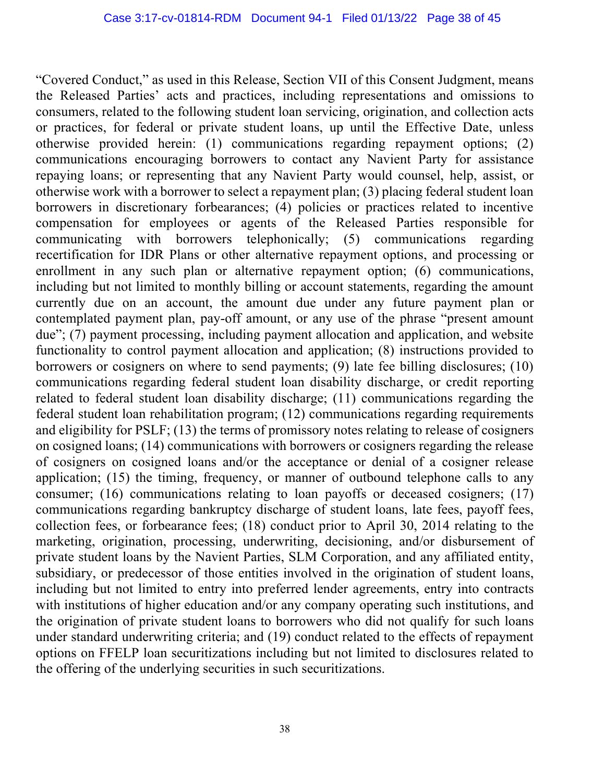"Covered Conduct," as used in this Release, Section VII of this Consent Judgment, means the Released Parties' acts and practices, including representations and omissions to consumers, related to the following student loan servicing, origination, and collection acts or practices, for federal or private student loans, up until the Effective Date, unless otherwise provided herein: (1) communications regarding repayment options; (2) communications encouraging borrowers to contact any Navient Party for assistance repaying loans; or representing that any Navient Party would counsel, help, assist, or otherwise work with a borrower to select a repayment plan; (3) placing federal student loan borrowers in discretionary forbearances; (4) policies or practices related to incentive compensation for employees or agents of the Released Parties responsible for communicating with borrowers telephonically; (5) communications regarding recertification for IDR Plans or other alternative repayment options, and processing or enrollment in any such plan or alternative repayment option; (6) communications, including but not limited to monthly billing or account statements, regarding the amount currently due on an account, the amount due under any future payment plan or contemplated payment plan, pay-off amount, or any use of the phrase "present amount due"; (7) payment processing, including payment allocation and application, and website functionality to control payment allocation and application; (8) instructions provided to borrowers or cosigners on where to send payments; (9) late fee billing disclosures; (10) communications regarding federal student loan disability discharge, or credit reporting related to federal student loan disability discharge; (11) communications regarding the federal student loan rehabilitation program; (12) communications regarding requirements and eligibility for PSLF; (13) the terms of promissory notes relating to release of cosigners on cosigned loans; (14) communications with borrowers or cosigners regarding the release of cosigners on cosigned loans and/or the acceptance or denial of a cosigner release application; (15) the timing, frequency, or manner of outbound telephone calls to any consumer; (16) communications relating to loan payoffs or deceased cosigners; (17) communications regarding bankruptcy discharge of student loans, late fees, payoff fees, collection fees, or forbearance fees; (18) conduct prior to April 30, 2014 relating to the marketing, origination, processing, underwriting, decisioning, and/or disbursement of private student loans by the Navient Parties, SLM Corporation, and any affiliated entity, subsidiary, or predecessor of those entities involved in the origination of student loans, including but not limited to entry into preferred lender agreements, entry into contracts with institutions of higher education and/or any company operating such institutions, and the origination of private student loans to borrowers who did not qualify for such loans under standard underwriting criteria; and (19) conduct related to the effects of repayment options on FFELP loan securitizations including but not limited to disclosures related to the offering of the underlying securities in such securitizations.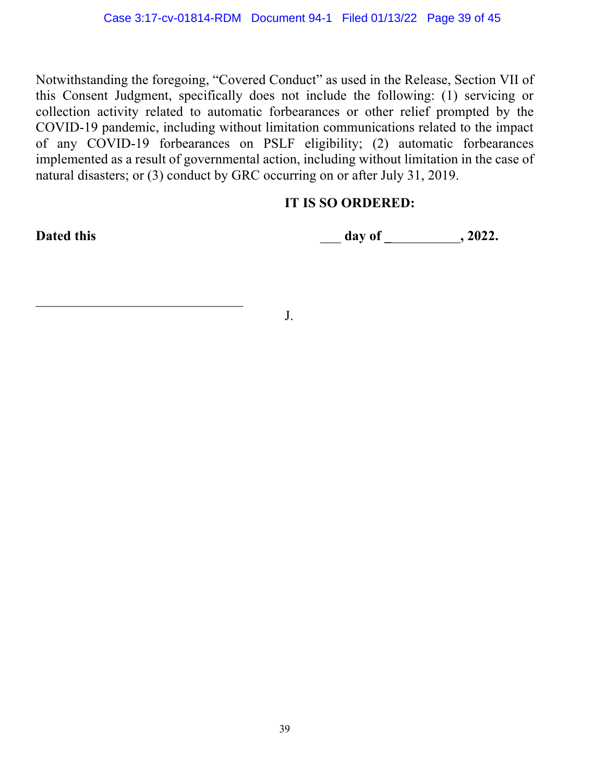Notwithstanding the foregoing, "Covered Conduct" as used in the Release, Section VII of this Consent Judgment, specifically does not include the following: (1) servicing or collection activity related to automatic forbearances or other relief prompted by the COVID-19 pandemic, including without limitation communications related to the impact of any COVID-19 forbearances on PSLF eligibility; (2) automatic forbearances implemented as a result of governmental action, including without limitation in the case of natural disasters; or (3) conduct by GRC occurring on or after July 31, 2019.

#### **IT IS SO ORDERED:**

 $\mathcal{L}_\text{max}$  , and the set of the set of the set of the set of the set of the set of the set of the set of the set of the set of the set of the set of the set of the set of the set of the set of the set of the set of the

**Dated this** \_\_\_ **day of \_**\_\_\_\_\_\_\_\_\_\_**, 2022.**

J.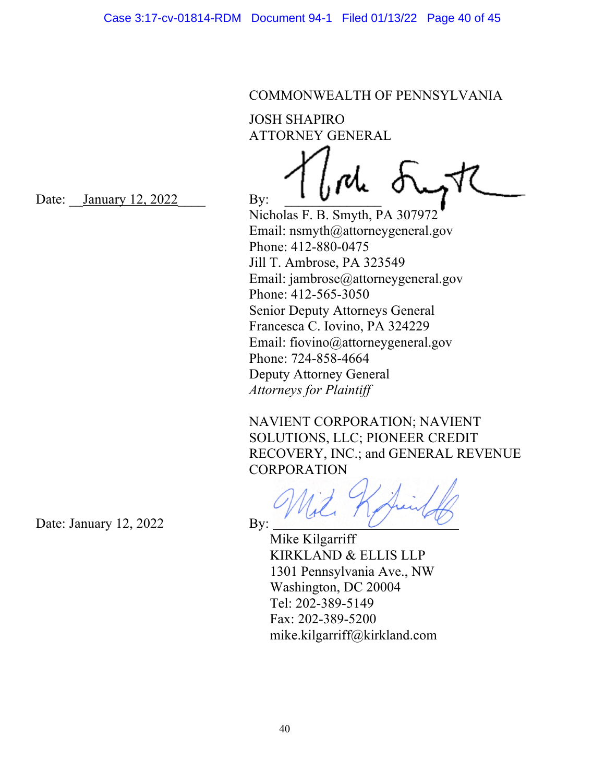#### COMMONWEALTH OF PENNSYLVANIA

JOSH SHAPIRO ATTORNEY GENERAL

Date: January 12,  $2022$  By:

Nicholas F. B. Smyth, PA 307972 Email: nsmyth@attorneygeneral.gov Phone: 412-880-0475 Jill T. Ambrose, PA 323549 Email: jambrose@attorneygeneral.gov Phone: 412-565-3050 Senior Deputy Attorneys General Francesca C. Iovino, PA 324229 Email: fiovino@attorneygeneral.gov Phone: 724-858-4664 Deputy Attorney General *Attorneys for Plaintiff* 

NAVIENT CORPORATION; NAVIENT SOLUTIONS, LLC; PIONEER CREDIT RECOVERY, INC.; and GENERAL REVENUE **CORPORATION** 

 Mike Kilgarriff KIRKLAND & ELLIS LLP 1301 Pennsylvania Ave., NW Washington, DC 20004 Tel: 202-389-5149 Fax: 202-389-5200 mike.kilgarriff@kirkland.com

Date: January 12, 2022 By: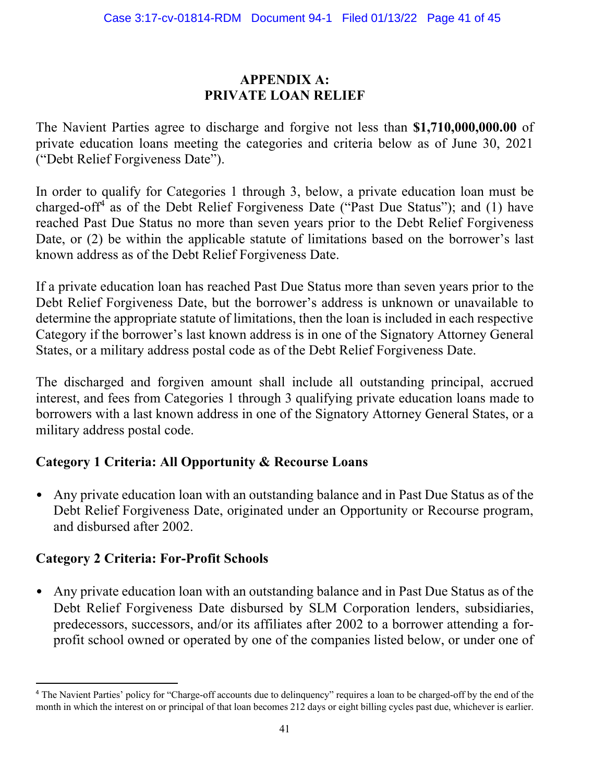#### **APPENDIX A: PRIVATE LOAN RELIEF**

The Navient Parties agree to discharge and forgive not less than **\$1,710,000,000.00** of private education loans meeting the categories and criteria below as of June 30, 2021 ("Debt Relief Forgiveness Date").

In order to qualify for Categories 1 through 3, below, a private education loan must be charged-off<sup>4</sup> as of the Debt Relief Forgiveness Date ("Past Due Status"); and (1) have reached Past Due Status no more than seven years prior to the Debt Relief Forgiveness Date, or (2) be within the applicable statute of limitations based on the borrower's last known address as of the Debt Relief Forgiveness Date.

If a private education loan has reached Past Due Status more than seven years prior to the Debt Relief Forgiveness Date, but the borrower's address is unknown or unavailable to determine the appropriate statute of limitations, then the loan is included in each respective Category if the borrower's last known address is in one of the Signatory Attorney General States, or a military address postal code as of the Debt Relief Forgiveness Date.

The discharged and forgiven amount shall include all outstanding principal, accrued interest, and fees from Categories 1 through 3 qualifying private education loans made to borrowers with a last known address in one of the Signatory Attorney General States, or a military address postal code.

#### **Category 1 Criteria: All Opportunity & Recourse Loans**

• Any private education loan with an outstanding balance and in Past Due Status as of the Debt Relief Forgiveness Date, originated under an Opportunity or Recourse program, and disbursed after 2002.

#### **Category 2 Criteria: For-Profit Schools**

• Any private education loan with an outstanding balance and in Past Due Status as of the Debt Relief Forgiveness Date disbursed by SLM Corporation lenders, subsidiaries, predecessors, successors, and/or its affiliates after 2002 to a borrower attending a forprofit school owned or operated by one of the companies listed below, or under one of

<sup>&</sup>lt;sup>4</sup> The Navient Parties' policy for "Charge-off accounts due to delinquency" requires a loan to be charged-off by the end of the month in which the interest on or principal of that loan becomes 212 days or eight billing cycles past due, whichever is earlier.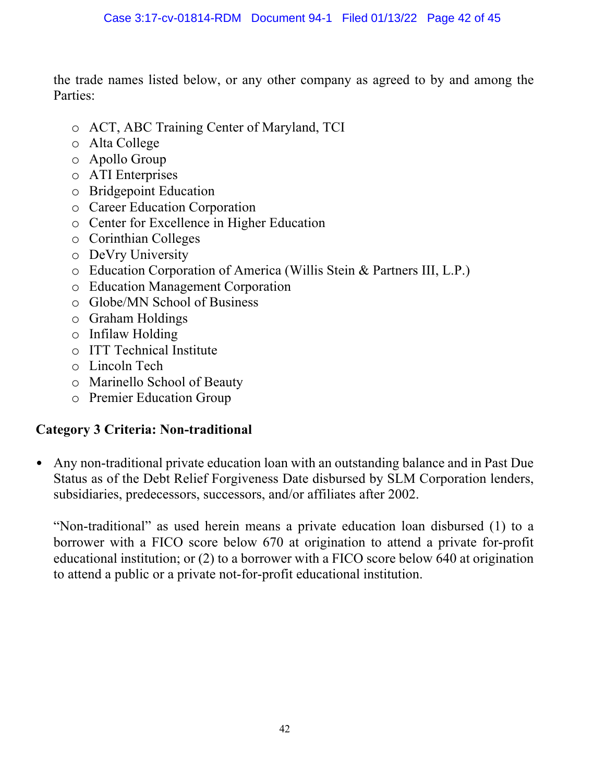the trade names listed below, or any other company as agreed to by and among the Parties:

- o ACT, ABC Training Center of Maryland, TCI
- o Alta College
- o Apollo Group
- o ATI Enterprises
- o Bridgepoint Education
- o Career Education Corporation
- o Center for Excellence in Higher Education
- o Corinthian Colleges
- o DeVry University
- o Education Corporation of America (Willis Stein & Partners III, L.P.)
- o Education Management Corporation
- o Globe/MN School of Business
- o Graham Holdings
- o Infilaw Holding
- o ITT Technical Institute
- o Lincoln Tech
- o Marinello School of Beauty
- o Premier Education Group

#### **Category 3 Criteria: Non-traditional**

• Any non-traditional private education loan with an outstanding balance and in Past Due Status as of the Debt Relief Forgiveness Date disbursed by SLM Corporation lenders, subsidiaries, predecessors, successors, and/or affiliates after 2002.

"Non-traditional" as used herein means a private education loan disbursed (1) to a borrower with a FICO score below 670 at origination to attend a private for-profit educational institution; or (2) to a borrower with a FICO score below 640 at origination to attend a public or a private not-for-profit educational institution.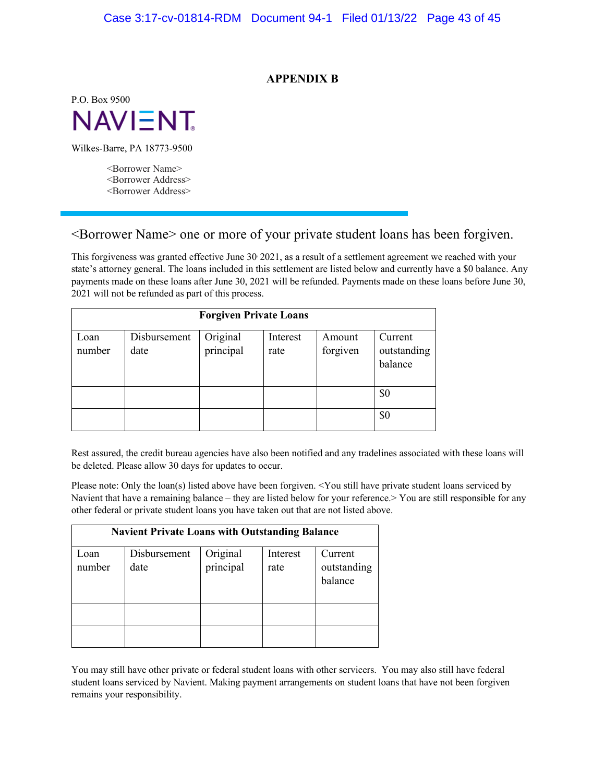#### **APPENDIX B**

P.O. Box 9500 **NAVIENT** 

Wilkes-Barre, PA 18773-9500

<Borrower Name> <Borrower Address> <Borrower Address>

#### <Borrower Name> one or more of your private student loans has been forgiven.

This forgiveness was granted effective June 30 2021, as a result of a settlement agreement we reached with your state's attorney general. The loans included in this settlement are listed below and currently have a \$0 balance. Any payments made on these loans after June 30, 2021 will be refunded. Payments made on these loans before June 30, 2021 will not be refunded as part of this process.

| <b>Forgiven Private Loans</b> |                      |                       |                  |                    |                                   |
|-------------------------------|----------------------|-----------------------|------------------|--------------------|-----------------------------------|
| Loan<br>number                | Disbursement<br>date | Original<br>principal | Interest<br>rate | Amount<br>forgiven | Current<br>outstanding<br>balance |
|                               |                      |                       |                  |                    | \$0<br>\$0                        |

Rest assured, the credit bureau agencies have also been notified and any tradelines associated with these loans will be deleted. Please allow 30 days for updates to occur.

Please note: Only the loan(s) listed above have been forgiven. <You still have private student loans serviced by Navient that have a remaining balance – they are listed below for your reference. You are still responsible for any other federal or private student loans you have taken out that are not listed above.

| <b>Navient Private Loans with Outstanding Balance</b> |                      |                       |                  |                                   |
|-------------------------------------------------------|----------------------|-----------------------|------------------|-----------------------------------|
| Loan<br>number                                        | Disbursement<br>date | Original<br>principal | Interest<br>rate | Current<br>outstanding<br>balance |
|                                                       |                      |                       |                  |                                   |

You may still have other private or federal student loans with other servicers. You may also still have federal student loans serviced by Navient. Making payment arrangements on student loans that have not been forgiven remains your responsibility.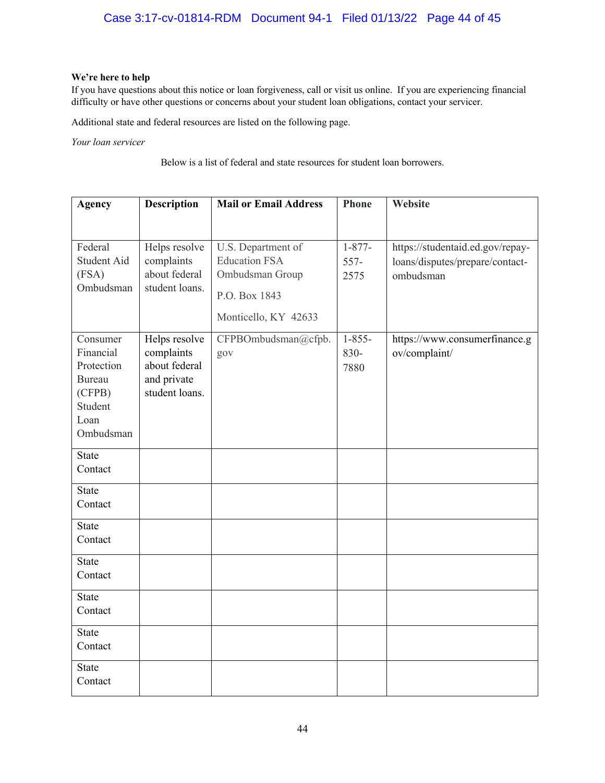#### **We're here to help**

If you have questions about this notice or loan forgiveness, call or visit us online. If you are experiencing financial difficulty or have other questions or concerns about your student loan obligations, contact your servicer.

Additional state and federal resources are listed on the following page.

*Your loan servicer*

Below is a list of federal and state resources for student loan borrowers.

| <b>Agency</b>                                                                                  | <b>Description</b>                                                            | <b>Mail or Email Address</b>                                                                           | <b>Phone</b>                | Website                                                                          |
|------------------------------------------------------------------------------------------------|-------------------------------------------------------------------------------|--------------------------------------------------------------------------------------------------------|-----------------------------|----------------------------------------------------------------------------------|
|                                                                                                |                                                                               |                                                                                                        |                             |                                                                                  |
| Federal<br>Student Aid<br>(FSA)<br>Ombudsman                                                   | Helps resolve<br>complaints<br>about federal<br>student loans.                | U.S. Department of<br><b>Education FSA</b><br>Ombudsman Group<br>P.O. Box 1843<br>Monticello, KY 42633 | $1 - 877 -$<br>557-<br>2575 | https://studentaid.ed.gov/repay-<br>loans/disputes/prepare/contact-<br>ombudsman |
| Consumer<br>Financial<br>Protection<br><b>Bureau</b><br>(CFPB)<br>Student<br>Loan<br>Ombudsman | Helps resolve<br>complaints<br>about federal<br>and private<br>student loans. | CFPBOmbudsman@cfpb.<br>gov                                                                             | $1 - 855 -$<br>830-<br>7880 | https://www.consumerfinance.g<br>ov/complaint/                                   |
| <b>State</b><br>Contact                                                                        |                                                                               |                                                                                                        |                             |                                                                                  |
| <b>State</b><br>Contact                                                                        |                                                                               |                                                                                                        |                             |                                                                                  |
| <b>State</b><br>Contact                                                                        |                                                                               |                                                                                                        |                             |                                                                                  |
| <b>State</b><br>Contact                                                                        |                                                                               |                                                                                                        |                             |                                                                                  |
| <b>State</b><br>Contact                                                                        |                                                                               |                                                                                                        |                             |                                                                                  |
| <b>State</b><br>Contact                                                                        |                                                                               |                                                                                                        |                             |                                                                                  |
| <b>State</b><br>Contact                                                                        |                                                                               |                                                                                                        |                             |                                                                                  |